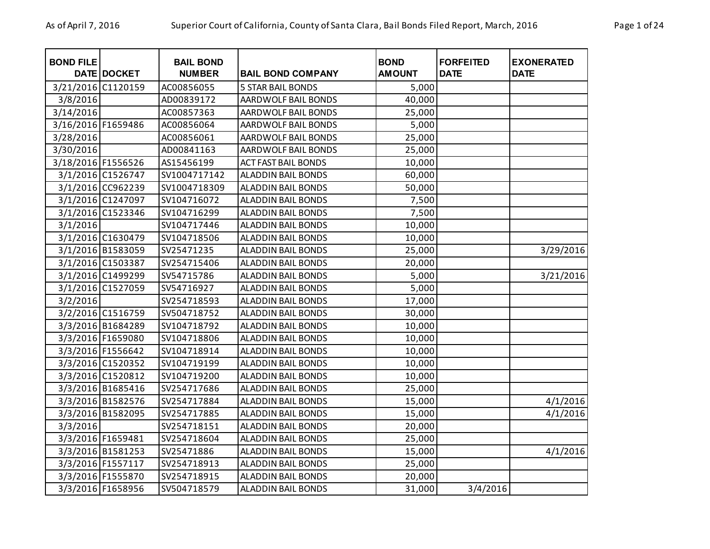| <b>BOND FILE</b>   | DATE DOCKET       | <b>BAIL BOND</b><br><b>NUMBER</b> | <b>BAIL BOND COMPANY</b>   | <b>BOND</b><br><b>AMOUNT</b> | <b>FORFEITED</b><br><b>DATE</b> | <b>EXONERATED</b><br><b>DATE</b> |
|--------------------|-------------------|-----------------------------------|----------------------------|------------------------------|---------------------------------|----------------------------------|
| 3/21/2016 C1120159 |                   | AC00856055                        | <b>5 STAR BAIL BONDS</b>   | 5,000                        |                                 |                                  |
| 3/8/2016           |                   | AD00839172                        | AARDWOLF BAIL BONDS        | 40,000                       |                                 |                                  |
| 3/14/2016          |                   | AC00857363                        | AARDWOLF BAIL BONDS        | 25,000                       |                                 |                                  |
| 3/16/2016 F1659486 |                   | AC00856064                        | AARDWOLF BAIL BONDS        | 5,000                        |                                 |                                  |
| 3/28/2016          |                   | AC00856061                        | AARDWOLF BAIL BONDS        | 25,000                       |                                 |                                  |
| 3/30/2016          |                   | AD00841163                        | AARDWOLF BAIL BONDS        | 25,000                       |                                 |                                  |
| 3/18/2016 F1556526 |                   | AS15456199                        | <b>ACT FAST BAIL BONDS</b> | 10,000                       |                                 |                                  |
|                    | 3/1/2016 C1526747 | SV1004717142                      | <b>ALADDIN BAIL BONDS</b>  | 60,000                       |                                 |                                  |
|                    | 3/1/2016 CC962239 | SV1004718309                      | <b>ALADDIN BAIL BONDS</b>  | 50,000                       |                                 |                                  |
|                    | 3/1/2016 C1247097 | SV104716072                       | <b>ALADDIN BAIL BONDS</b>  | 7,500                        |                                 |                                  |
|                    | 3/1/2016 C1523346 | SV104716299                       | <b>ALADDIN BAIL BONDS</b>  | 7,500                        |                                 |                                  |
| 3/1/2016           |                   | SV104717446                       | <b>ALADDIN BAIL BONDS</b>  | 10,000                       |                                 |                                  |
|                    | 3/1/2016 C1630479 | SV104718506                       | <b>ALADDIN BAIL BONDS</b>  | 10,000                       |                                 |                                  |
|                    | 3/1/2016 B1583059 | SV25471235                        | <b>ALADDIN BAIL BONDS</b>  | 25,000                       |                                 | 3/29/2016                        |
|                    | 3/1/2016 C1503387 | SV254715406                       | <b>ALADDIN BAIL BONDS</b>  | 20,000                       |                                 |                                  |
|                    | 3/1/2016 C1499299 | SV54715786                        | <b>ALADDIN BAIL BONDS</b>  | 5,000                        |                                 | 3/21/2016                        |
|                    | 3/1/2016 C1527059 | SV54716927                        | <b>ALADDIN BAIL BONDS</b>  | 5,000                        |                                 |                                  |
| 3/2/2016           |                   | SV254718593                       | ALADDIN BAIL BONDS         | 17,000                       |                                 |                                  |
|                    | 3/2/2016 C1516759 | SV504718752                       | ALADDIN BAIL BONDS         | 30,000                       |                                 |                                  |
|                    | 3/3/2016 B1684289 | SV104718792                       | <b>ALADDIN BAIL BONDS</b>  | 10,000                       |                                 |                                  |
|                    | 3/3/2016 F1659080 | SV104718806                       | <b>ALADDIN BAIL BONDS</b>  | 10,000                       |                                 |                                  |
|                    | 3/3/2016 F1556642 | SV104718914                       | <b>ALADDIN BAIL BONDS</b>  | 10,000                       |                                 |                                  |
|                    | 3/3/2016 C1520352 | SV104719199                       | <b>ALADDIN BAIL BONDS</b>  | 10,000                       |                                 |                                  |
|                    | 3/3/2016 C1520812 | SV104719200                       | <b>ALADDIN BAIL BONDS</b>  | 10,000                       |                                 |                                  |
|                    | 3/3/2016 B1685416 | SV254717686                       | <b>ALADDIN BAIL BONDS</b>  | 25,000                       |                                 |                                  |
|                    | 3/3/2016 B1582576 | SV254717884                       | <b>ALADDIN BAIL BONDS</b>  | 15,000                       |                                 | 4/1/2016                         |
|                    | 3/3/2016 B1582095 | SV254717885                       | <b>ALADDIN BAIL BONDS</b>  | 15,000                       |                                 | 4/1/2016                         |
| 3/3/2016           |                   | SV254718151                       | <b>ALADDIN BAIL BONDS</b>  | 20,000                       |                                 |                                  |
|                    | 3/3/2016 F1659481 | SV254718604                       | <b>ALADDIN BAIL BONDS</b>  | 25,000                       |                                 |                                  |
|                    | 3/3/2016 B1581253 | SV25471886                        | <b>ALADDIN BAIL BONDS</b>  | 15,000                       |                                 | 4/1/2016                         |
|                    | 3/3/2016 F1557117 | SV254718913                       | <b>ALADDIN BAIL BONDS</b>  | 25,000                       |                                 |                                  |
|                    | 3/3/2016 F1555870 | SV254718915                       | <b>ALADDIN BAIL BONDS</b>  | 20,000                       |                                 |                                  |
|                    | 3/3/2016 F1658956 | SV504718579                       | <b>ALADDIN BAIL BONDS</b>  | 31,000                       | 3/4/2016                        |                                  |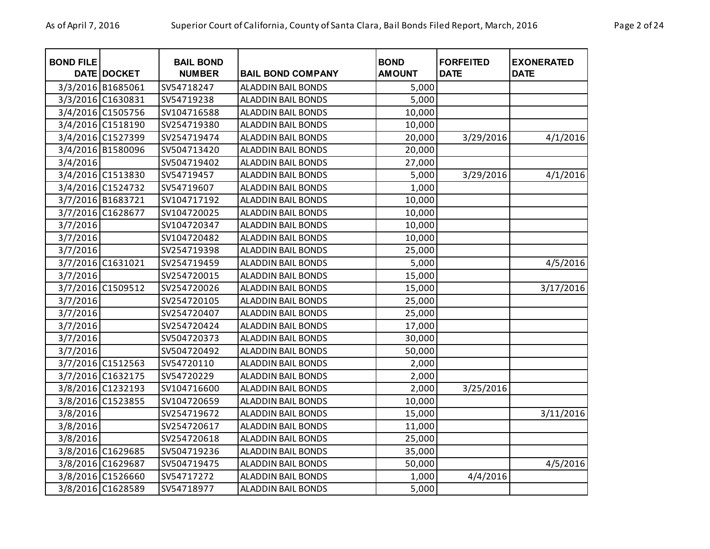| <b>BOND FILE</b> | DATE DOCKET       | <b>BAIL BOND</b><br><b>NUMBER</b> | <b>BAIL BOND COMPANY</b>  | <b>BOND</b><br><b>AMOUNT</b> | <b>FORFEITED</b><br><b>DATE</b> | <b>EXONERATED</b><br><b>DATE</b> |
|------------------|-------------------|-----------------------------------|---------------------------|------------------------------|---------------------------------|----------------------------------|
|                  | 3/3/2016 B1685061 | SV54718247                        | <b>ALADDIN BAIL BONDS</b> | 5,000                        |                                 |                                  |
|                  | 3/3/2016 C1630831 | SV54719238                        | <b>ALADDIN BAIL BONDS</b> | 5,000                        |                                 |                                  |
|                  | 3/4/2016 C1505756 | SV104716588                       | <b>ALADDIN BAIL BONDS</b> | 10,000                       |                                 |                                  |
|                  | 3/4/2016 C1518190 | SV254719380                       | <b>ALADDIN BAIL BONDS</b> | 10,000                       |                                 |                                  |
|                  | 3/4/2016 C1527399 | SV254719474                       | <b>ALADDIN BAIL BONDS</b> | 20,000                       | 3/29/2016                       | 4/1/2016                         |
|                  | 3/4/2016 B1580096 | SV504713420                       | <b>ALADDIN BAIL BONDS</b> | 20,000                       |                                 |                                  |
| 3/4/2016         |                   | SV504719402                       | <b>ALADDIN BAIL BONDS</b> | 27,000                       |                                 |                                  |
|                  | 3/4/2016 C1513830 | SV54719457                        | <b>ALADDIN BAIL BONDS</b> | 5,000                        | 3/29/2016                       | 4/1/2016                         |
|                  | 3/4/2016 C1524732 | SV54719607                        | <b>ALADDIN BAIL BONDS</b> | 1,000                        |                                 |                                  |
|                  | 3/7/2016 B1683721 | SV104717192                       | <b>ALADDIN BAIL BONDS</b> | 10,000                       |                                 |                                  |
|                  | 3/7/2016 C1628677 | SV104720025                       | ALADDIN BAIL BONDS        | 10,000                       |                                 |                                  |
| 3/7/2016         |                   | SV104720347                       | ALADDIN BAIL BONDS        | 10,000                       |                                 |                                  |
| 3/7/2016         |                   | SV104720482                       | <b>ALADDIN BAIL BONDS</b> | 10,000                       |                                 |                                  |
| 3/7/2016         |                   | SV254719398                       | <b>ALADDIN BAIL BONDS</b> | 25,000                       |                                 |                                  |
|                  | 3/7/2016 C1631021 | SV254719459                       | <b>ALADDIN BAIL BONDS</b> | 5,000                        |                                 | 4/5/2016                         |
| 3/7/2016         |                   | SV254720015                       | ALADDIN BAIL BONDS        | 15,000                       |                                 |                                  |
|                  | 3/7/2016 C1509512 | SV254720026                       | <b>ALADDIN BAIL BONDS</b> | 15,000                       |                                 | 3/17/2016                        |
| 3/7/2016         |                   | SV254720105                       | <b>ALADDIN BAIL BONDS</b> | 25,000                       |                                 |                                  |
| 3/7/2016         |                   | SV254720407                       | ALADDIN BAIL BONDS        | 25,000                       |                                 |                                  |
| 3/7/2016         |                   | SV254720424                       | <b>ALADDIN BAIL BONDS</b> | 17,000                       |                                 |                                  |
| 3/7/2016         |                   | SV504720373                       | <b>ALADDIN BAIL BONDS</b> | 30,000                       |                                 |                                  |
| 3/7/2016         |                   | SV504720492                       | <b>ALADDIN BAIL BONDS</b> | 50,000                       |                                 |                                  |
|                  | 3/7/2016 C1512563 | SV54720110                        | <b>ALADDIN BAIL BONDS</b> | 2,000                        |                                 |                                  |
|                  | 3/7/2016 C1632175 | SV54720229                        | <b>ALADDIN BAIL BONDS</b> | 2,000                        |                                 |                                  |
|                  | 3/8/2016 C1232193 | SV104716600                       | <b>ALADDIN BAIL BONDS</b> | 2,000                        | 3/25/2016                       |                                  |
|                  | 3/8/2016 C1523855 | SV104720659                       | <b>ALADDIN BAIL BONDS</b> | 10,000                       |                                 |                                  |
| 3/8/2016         |                   | SV254719672                       | <b>ALADDIN BAIL BONDS</b> | 15,000                       |                                 | 3/11/2016                        |
| 3/8/2016         |                   | SV254720617                       | <b>ALADDIN BAIL BONDS</b> | 11,000                       |                                 |                                  |
| 3/8/2016         |                   | SV254720618                       | <b>ALADDIN BAIL BONDS</b> | 25,000                       |                                 |                                  |
|                  | 3/8/2016 C1629685 | SV504719236                       | <b>ALADDIN BAIL BONDS</b> | 35,000                       |                                 |                                  |
|                  | 3/8/2016 C1629687 | SV504719475                       | <b>ALADDIN BAIL BONDS</b> | 50,000                       |                                 | 4/5/2016                         |
|                  | 3/8/2016 C1526660 | SV54717272                        | <b>ALADDIN BAIL BONDS</b> | 1,000                        | 4/4/2016                        |                                  |
|                  | 3/8/2016 C1628589 | SV54718977                        | <b>ALADDIN BAIL BONDS</b> | 5,000                        |                                 |                                  |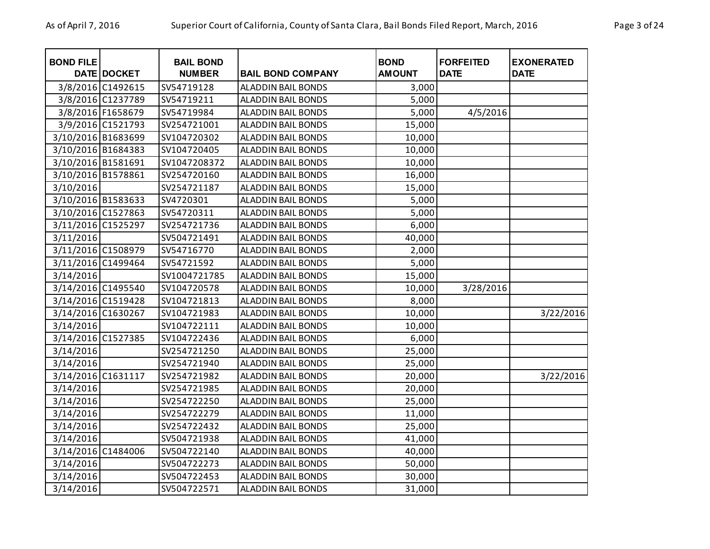| <b>BOND FILE</b>   | DATE DOCKET       | <b>BAIL BOND</b><br><b>NUMBER</b> | <b>BAIL BOND COMPANY</b>  | <b>BOND</b><br><b>AMOUNT</b> | <b>FORFEITED</b><br><b>DATE</b> | <b>EXONERATED</b><br><b>DATE</b> |
|--------------------|-------------------|-----------------------------------|---------------------------|------------------------------|---------------------------------|----------------------------------|
|                    | 3/8/2016 C1492615 | SV54719128                        | <b>ALADDIN BAIL BONDS</b> | 3,000                        |                                 |                                  |
|                    | 3/8/2016 C1237789 | SV54719211                        | <b>ALADDIN BAIL BONDS</b> | 5,000                        |                                 |                                  |
|                    | 3/8/2016 F1658679 | SV54719984                        | <b>ALADDIN BAIL BONDS</b> | 5,000                        | 4/5/2016                        |                                  |
|                    | 3/9/2016 C1521793 | SV254721001                       | <b>ALADDIN BAIL BONDS</b> | 15,000                       |                                 |                                  |
| 3/10/2016 B1683699 |                   | SV104720302                       | <b>ALADDIN BAIL BONDS</b> | 10,000                       |                                 |                                  |
| 3/10/2016 B1684383 |                   | SV104720405                       | <b>ALADDIN BAIL BONDS</b> | 10,000                       |                                 |                                  |
| 3/10/2016 B1581691 |                   | SV1047208372                      | <b>ALADDIN BAIL BONDS</b> | 10,000                       |                                 |                                  |
| 3/10/2016 B1578861 |                   | SV254720160                       | <b>ALADDIN BAIL BONDS</b> | 16,000                       |                                 |                                  |
| 3/10/2016          |                   | SV254721187                       | <b>ALADDIN BAIL BONDS</b> | 15,000                       |                                 |                                  |
| 3/10/2016 B1583633 |                   | SV4720301                         | <b>ALADDIN BAIL BONDS</b> | 5,000                        |                                 |                                  |
| 3/10/2016 C1527863 |                   | SV54720311                        | ALADDIN BAIL BONDS        | 5,000                        |                                 |                                  |
| 3/11/2016 C1525297 |                   | SV254721736                       | <b>ALADDIN BAIL BONDS</b> | 6,000                        |                                 |                                  |
| 3/11/2016          |                   | SV504721491                       | ALADDIN BAIL BONDS        | 40,000                       |                                 |                                  |
| 3/11/2016 C1508979 |                   | SV54716770                        | <b>ALADDIN BAIL BONDS</b> | 2,000                        |                                 |                                  |
| 3/11/2016 C1499464 |                   | SV54721592                        | <b>ALADDIN BAIL BONDS</b> | 5,000                        |                                 |                                  |
| 3/14/2016          |                   | SV1004721785                      | <b>ALADDIN BAIL BONDS</b> | 15,000                       |                                 |                                  |
| 3/14/2016 C1495540 |                   | SV104720578                       | <b>ALADDIN BAIL BONDS</b> | 10,000                       | 3/28/2016                       |                                  |
| 3/14/2016 C1519428 |                   | SV104721813                       | ALADDIN BAIL BONDS        | 8,000                        |                                 |                                  |
| 3/14/2016 C1630267 |                   | SV104721983                       | <b>ALADDIN BAIL BONDS</b> | 10,000                       |                                 | 3/22/2016                        |
| 3/14/2016          |                   | SV104722111                       | <b>ALADDIN BAIL BONDS</b> | 10,000                       |                                 |                                  |
| 3/14/2016 C1527385 |                   | SV104722436                       | <b>ALADDIN BAIL BONDS</b> | 6,000                        |                                 |                                  |
| 3/14/2016          |                   | SV254721250                       | <b>ALADDIN BAIL BONDS</b> | 25,000                       |                                 |                                  |
| 3/14/2016          |                   | SV254721940                       | <b>ALADDIN BAIL BONDS</b> | 25,000                       |                                 |                                  |
| 3/14/2016 C1631117 |                   | SV254721982                       | <b>ALADDIN BAIL BONDS</b> | 20,000                       |                                 | 3/22/2016                        |
| 3/14/2016          |                   | SV254721985                       | <b>ALADDIN BAIL BONDS</b> | 20,000                       |                                 |                                  |
| 3/14/2016          |                   | SV254722250                       | <b>ALADDIN BAIL BONDS</b> | 25,000                       |                                 |                                  |
| 3/14/2016          |                   | SV254722279                       | <b>ALADDIN BAIL BONDS</b> | 11,000                       |                                 |                                  |
| 3/14/2016          |                   | SV254722432                       | <b>ALADDIN BAIL BONDS</b> | 25,000                       |                                 |                                  |
| 3/14/2016          |                   | SV504721938                       | <b>ALADDIN BAIL BONDS</b> | 41,000                       |                                 |                                  |
| 3/14/2016 C1484006 |                   | SV504722140                       | <b>ALADDIN BAIL BONDS</b> | 40,000                       |                                 |                                  |
| 3/14/2016          |                   | SV504722273                       | <b>ALADDIN BAIL BONDS</b> | 50,000                       |                                 |                                  |
| 3/14/2016          |                   | SV504722453                       | <b>ALADDIN BAIL BONDS</b> | 30,000                       |                                 |                                  |
| 3/14/2016          |                   | SV504722571                       | <b>ALADDIN BAIL BONDS</b> | 31,000                       |                                 |                                  |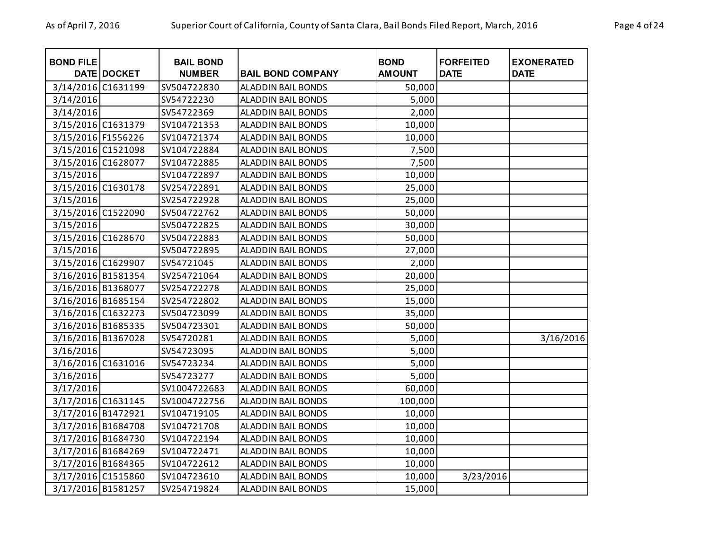| Page 4 of 2 |
|-------------|
|             |
|             |

| <b>BOND FILE</b>   | DATE DOCKET | <b>BAIL BOND</b><br><b>NUMBER</b> | <b>BAIL BOND COMPANY</b>  | <b>BOND</b><br><b>AMOUNT</b> | <b>FORFEITED</b><br><b>DATE</b> | <b>EXONERATED</b><br><b>DATE</b> |
|--------------------|-------------|-----------------------------------|---------------------------|------------------------------|---------------------------------|----------------------------------|
| 3/14/2016 C1631199 |             | SV504722830                       | ALADDIN BAIL BONDS        | 50,000                       |                                 |                                  |
| 3/14/2016          |             | SV54722230                        | <b>ALADDIN BAIL BONDS</b> | 5,000                        |                                 |                                  |
| 3/14/2016          |             | SV54722369                        | <b>ALADDIN BAIL BONDS</b> | 2,000                        |                                 |                                  |
| 3/15/2016 C1631379 |             | SV104721353                       | <b>ALADDIN BAIL BONDS</b> | 10,000                       |                                 |                                  |
| 3/15/2016 F1556226 |             | SV104721374                       | <b>ALADDIN BAIL BONDS</b> | 10,000                       |                                 |                                  |
| 3/15/2016 C1521098 |             | SV104722884                       | <b>ALADDIN BAIL BONDS</b> | 7,500                        |                                 |                                  |
| 3/15/2016 C1628077 |             | SV104722885                       | <b>ALADDIN BAIL BONDS</b> | 7,500                        |                                 |                                  |
| 3/15/2016          |             | SV104722897                       | <b>ALADDIN BAIL BONDS</b> | 10,000                       |                                 |                                  |
| 3/15/2016 C1630178 |             | SV254722891                       | ALADDIN BAIL BONDS        | 25,000                       |                                 |                                  |
| 3/15/2016          |             | SV254722928                       | ALADDIN BAIL BONDS        | 25,000                       |                                 |                                  |
| 3/15/2016 C1522090 |             | SV504722762                       | <b>ALADDIN BAIL BONDS</b> | 50,000                       |                                 |                                  |
| 3/15/2016          |             | SV504722825                       | <b>ALADDIN BAIL BONDS</b> | 30,000                       |                                 |                                  |
| 3/15/2016 C1628670 |             | SV504722883                       | ALADDIN BAIL BONDS        | 50,000                       |                                 |                                  |
| 3/15/2016          |             | SV504722895                       | <b>ALADDIN BAIL BONDS</b> | 27,000                       |                                 |                                  |
| 3/15/2016 C1629907 |             | SV54721045                        | ALADDIN BAIL BONDS        | 2,000                        |                                 |                                  |
| 3/16/2016 B1581354 |             | SV254721064                       | <b>ALADDIN BAIL BONDS</b> | 20,000                       |                                 |                                  |
| 3/16/2016 B1368077 |             | SV254722278                       | <b>ALADDIN BAIL BONDS</b> | 25,000                       |                                 |                                  |
| 3/16/2016 B1685154 |             | SV254722802                       | ALADDIN BAIL BONDS        | 15,000                       |                                 |                                  |
| 3/16/2016 C1632273 |             | SV504723099                       | <b>ALADDIN BAIL BONDS</b> | 35,000                       |                                 |                                  |
| 3/16/2016 B1685335 |             | SV504723301                       | ALADDIN BAIL BONDS        | 50,000                       |                                 |                                  |
| 3/16/2016 B1367028 |             | SV54720281                        | <b>ALADDIN BAIL BONDS</b> | 5,000                        |                                 | 3/16/2016                        |
| 3/16/2016          |             | SV54723095                        | <b>ALADDIN BAIL BONDS</b> | 5,000                        |                                 |                                  |
| 3/16/2016 C1631016 |             | SV54723234                        | <b>ALADDIN BAIL BONDS</b> | 5,000                        |                                 |                                  |
| 3/16/2016          |             | SV54723277                        | <b>ALADDIN BAIL BONDS</b> | 5,000                        |                                 |                                  |
| 3/17/2016          |             | SV1004722683                      | <b>ALADDIN BAIL BONDS</b> | 60,000                       |                                 |                                  |
| 3/17/2016 C1631145 |             | SV1004722756                      | <b>ALADDIN BAIL BONDS</b> | 100,000                      |                                 |                                  |
| 3/17/2016 B1472921 |             | SV104719105                       | <b>ALADDIN BAIL BONDS</b> | 10,000                       |                                 |                                  |
| 3/17/2016 B1684708 |             | SV104721708                       | <b>ALADDIN BAIL BONDS</b> | 10,000                       |                                 |                                  |
| 3/17/2016 B1684730 |             | SV104722194                       | <b>ALADDIN BAIL BONDS</b> | 10,000                       |                                 |                                  |
| 3/17/2016 B1684269 |             | SV104722471                       | ALADDIN BAIL BONDS        | 10,000                       |                                 |                                  |
| 3/17/2016 B1684365 |             | SV104722612                       | ALADDIN BAIL BONDS        | 10,000                       |                                 |                                  |
| 3/17/2016 C1515860 |             | SV104723610                       | <b>ALADDIN BAIL BONDS</b> | 10,000                       | 3/23/2016                       |                                  |
| 3/17/2016 B1581257 |             | SV254719824                       | <b>ALADDIN BAIL BONDS</b> | 15,000                       |                                 |                                  |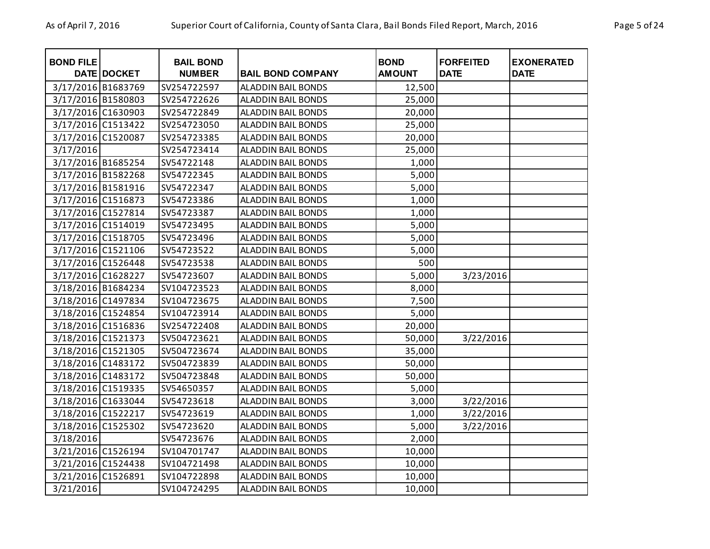| <b>BOND FILE</b>   | <b>DATE DOCKET</b> | <b>BAIL BOND</b><br><b>NUMBER</b> | <b>BAIL BOND COMPANY</b>  | <b>BOND</b><br><b>AMOUNT</b> | <b>FORFEITED</b><br><b>DATE</b> | <b>EXONERATED</b><br><b>DATE</b> |
|--------------------|--------------------|-----------------------------------|---------------------------|------------------------------|---------------------------------|----------------------------------|
| 3/17/2016 B1683769 |                    | SV254722597                       | <b>ALADDIN BAIL BONDS</b> | 12,500                       |                                 |                                  |
| 3/17/2016 B1580803 |                    | SV254722626                       | <b>ALADDIN BAIL BONDS</b> | 25,000                       |                                 |                                  |
| 3/17/2016 C1630903 |                    | SV254722849                       | <b>ALADDIN BAIL BONDS</b> | 20,000                       |                                 |                                  |
| 3/17/2016 C1513422 |                    | SV254723050                       | <b>ALADDIN BAIL BONDS</b> | 25,000                       |                                 |                                  |
| 3/17/2016 C1520087 |                    | SV254723385                       | <b>ALADDIN BAIL BONDS</b> | 20,000                       |                                 |                                  |
| 3/17/2016          |                    | SV254723414                       | <b>ALADDIN BAIL BONDS</b> | 25,000                       |                                 |                                  |
| 3/17/2016 B1685254 |                    | SV54722148                        | <b>ALADDIN BAIL BONDS</b> | 1,000                        |                                 |                                  |
| 3/17/2016 B1582268 |                    | SV54722345                        | <b>ALADDIN BAIL BONDS</b> | 5,000                        |                                 |                                  |
| 3/17/2016 B1581916 |                    | SV54722347                        | <b>ALADDIN BAIL BONDS</b> | 5,000                        |                                 |                                  |
| 3/17/2016 C1516873 |                    | SV54723386                        | <b>ALADDIN BAIL BONDS</b> | 1,000                        |                                 |                                  |
| 3/17/2016 C1527814 |                    | SV54723387                        | <b>ALADDIN BAIL BONDS</b> | 1,000                        |                                 |                                  |
| 3/17/2016 C1514019 |                    | SV54723495                        | <b>ALADDIN BAIL BONDS</b> | 5,000                        |                                 |                                  |
| 3/17/2016 C1518705 |                    | SV54723496                        | <b>ALADDIN BAIL BONDS</b> | 5,000                        |                                 |                                  |
| 3/17/2016 C1521106 |                    | SV54723522                        | <b>ALADDIN BAIL BONDS</b> | 5,000                        |                                 |                                  |
| 3/17/2016 C1526448 |                    | SV54723538                        | <b>ALADDIN BAIL BONDS</b> | 500                          |                                 |                                  |
| 3/17/2016 C1628227 |                    | SV54723607                        | <b>ALADDIN BAIL BONDS</b> | 5,000                        | 3/23/2016                       |                                  |
| 3/18/2016 B1684234 |                    | SV104723523                       | <b>ALADDIN BAIL BONDS</b> | 8,000                        |                                 |                                  |
| 3/18/2016 C1497834 |                    | SV104723675                       | ALADDIN BAIL BONDS        | 7,500                        |                                 |                                  |
| 3/18/2016 C1524854 |                    | SV104723914                       | <b>ALADDIN BAIL BONDS</b> | 5,000                        |                                 |                                  |
| 3/18/2016 C1516836 |                    | SV254722408                       | ALADDIN BAIL BONDS        | 20,000                       |                                 |                                  |
| 3/18/2016 C1521373 |                    | SV504723621                       | <b>ALADDIN BAIL BONDS</b> | 50,000                       | 3/22/2016                       |                                  |
| 3/18/2016 C1521305 |                    | SV504723674                       | <b>ALADDIN BAIL BONDS</b> | 35,000                       |                                 |                                  |
| 3/18/2016 C1483172 |                    | SV504723839                       | <b>ALADDIN BAIL BONDS</b> | 50,000                       |                                 |                                  |
| 3/18/2016 C1483172 |                    | SV504723848                       | <b>ALADDIN BAIL BONDS</b> | 50,000                       |                                 |                                  |
| 3/18/2016 C1519335 |                    | SV54650357                        | <b>ALADDIN BAIL BONDS</b> | 5,000                        |                                 |                                  |
| 3/18/2016 C1633044 |                    | SV54723618                        | ALADDIN BAIL BONDS        | 3,000                        | 3/22/2016                       |                                  |
| 3/18/2016 C1522217 |                    | SV54723619                        | <b>ALADDIN BAIL BONDS</b> | 1,000                        | 3/22/2016                       |                                  |
| 3/18/2016 C1525302 |                    | SV54723620                        | <b>ALADDIN BAIL BONDS</b> | 5,000                        | 3/22/2016                       |                                  |
| 3/18/2016          |                    | SV54723676                        | <b>ALADDIN BAIL BONDS</b> | 2,000                        |                                 |                                  |
| 3/21/2016 C1526194 |                    | SV104701747                       | <b>ALADDIN BAIL BONDS</b> | 10,000                       |                                 |                                  |
| 3/21/2016 C1524438 |                    | SV104721498                       | <b>ALADDIN BAIL BONDS</b> | 10,000                       |                                 |                                  |
| 3/21/2016 C1526891 |                    | SV104722898                       | <b>ALADDIN BAIL BONDS</b> | 10,000                       |                                 |                                  |
| 3/21/2016          |                    | SV104724295                       | <b>ALADDIN BAIL BONDS</b> | 10,000                       |                                 |                                  |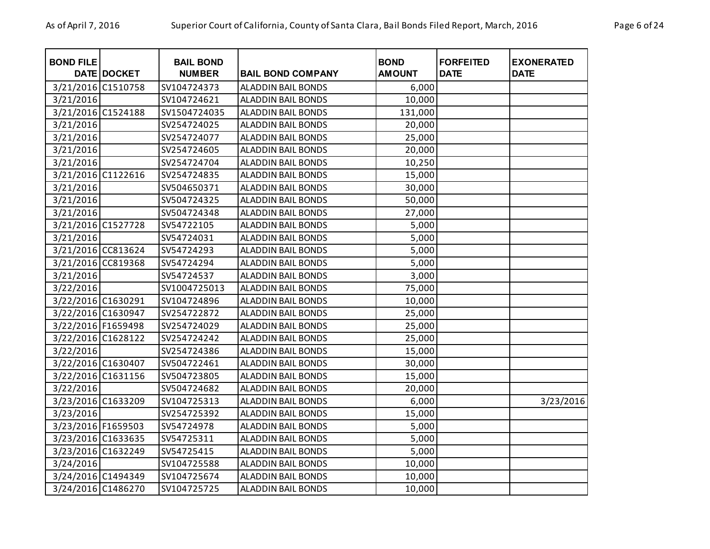| <b>BOND FILE</b>   |             | <b>BAIL BOND</b> |                           | <b>BOND</b>   | <b>FORFEITED</b> | <b>EXONERATED</b> |
|--------------------|-------------|------------------|---------------------------|---------------|------------------|-------------------|
|                    | DATE DOCKET | <b>NUMBER</b>    | <b>BAIL BOND COMPANY</b>  | <b>AMOUNT</b> | <b>DATE</b>      | <b>DATE</b>       |
| 3/21/2016 C1510758 |             | SV104724373      | <b>ALADDIN BAIL BONDS</b> | 6,000         |                  |                   |
| 3/21/2016          |             | SV104724621      | <b>ALADDIN BAIL BONDS</b> | 10,000        |                  |                   |
| 3/21/2016 C1524188 |             | SV1504724035     | <b>ALADDIN BAIL BONDS</b> | 131,000       |                  |                   |
| 3/21/2016          |             | SV254724025      | <b>ALADDIN BAIL BONDS</b> | 20,000        |                  |                   |
| 3/21/2016          |             | SV254724077      | <b>ALADDIN BAIL BONDS</b> | 25,000        |                  |                   |
| 3/21/2016          |             | SV254724605      | <b>ALADDIN BAIL BONDS</b> | 20,000        |                  |                   |
| 3/21/2016          |             | SV254724704      | <b>ALADDIN BAIL BONDS</b> | 10,250        |                  |                   |
| 3/21/2016 C1122616 |             | SV254724835      | <b>ALADDIN BAIL BONDS</b> | 15,000        |                  |                   |
| 3/21/2016          |             | SV504650371      | <b>ALADDIN BAIL BONDS</b> | 30,000        |                  |                   |
| 3/21/2016          |             | SV504724325      | <b>ALADDIN BAIL BONDS</b> | 50,000        |                  |                   |
| 3/21/2016          |             | SV504724348      | <b>ALADDIN BAIL BONDS</b> | 27,000        |                  |                   |
| 3/21/2016 C1527728 |             | SV54722105       | <b>ALADDIN BAIL BONDS</b> | 5,000         |                  |                   |
| 3/21/2016          |             | SV54724031       | <b>ALADDIN BAIL BONDS</b> | 5,000         |                  |                   |
| 3/21/2016 CC813624 |             | SV54724293       | <b>ALADDIN BAIL BONDS</b> | 5,000         |                  |                   |
| 3/21/2016 CC819368 |             | SV54724294       | <b>ALADDIN BAIL BONDS</b> | 5,000         |                  |                   |
| 3/21/2016          |             | SV54724537       | <b>ALADDIN BAIL BONDS</b> | 3,000         |                  |                   |
| 3/22/2016          |             | SV1004725013     | <b>ALADDIN BAIL BONDS</b> | 75,000        |                  |                   |
| 3/22/2016 C1630291 |             | SV104724896      | ALADDIN BAIL BONDS        | 10,000        |                  |                   |
| 3/22/2016 C1630947 |             | SV254722872      | <b>ALADDIN BAIL BONDS</b> | 25,000        |                  |                   |
| 3/22/2016 F1659498 |             | SV254724029      | <b>ALADDIN BAIL BONDS</b> | 25,000        |                  |                   |
| 3/22/2016 C1628122 |             | SV254724242      | <b>ALADDIN BAIL BONDS</b> | 25,000        |                  |                   |
| 3/22/2016          |             | SV254724386      | <b>ALADDIN BAIL BONDS</b> | 15,000        |                  |                   |
| 3/22/2016 C1630407 |             | SV504722461      | <b>ALADDIN BAIL BONDS</b> | 30,000        |                  |                   |
| 3/22/2016 C1631156 |             | SV504723805      | <b>ALADDIN BAIL BONDS</b> | 15,000        |                  |                   |
| 3/22/2016          |             | SV504724682      | <b>ALADDIN BAIL BONDS</b> | 20,000        |                  |                   |
| 3/23/2016 C1633209 |             | SV104725313      | <b>ALADDIN BAIL BONDS</b> | 6,000         |                  | 3/23/2016         |
| 3/23/2016          |             | SV254725392      | <b>ALADDIN BAIL BONDS</b> | 15,000        |                  |                   |
| 3/23/2016 F1659503 |             | SV54724978       | <b>ALADDIN BAIL BONDS</b> | 5,000         |                  |                   |
| 3/23/2016 C1633635 |             | SV54725311       | <b>ALADDIN BAIL BONDS</b> | 5,000         |                  |                   |
| 3/23/2016 C1632249 |             | SV54725415       | <b>ALADDIN BAIL BONDS</b> | 5,000         |                  |                   |
| 3/24/2016          |             | SV104725588      | <b>ALADDIN BAIL BONDS</b> | 10,000        |                  |                   |
| 3/24/2016 C1494349 |             | SV104725674      | <b>ALADDIN BAIL BONDS</b> | 10,000        |                  |                   |
| 3/24/2016 C1486270 |             | SV104725725      | <b>ALADDIN BAIL BONDS</b> | 10,000        |                  |                   |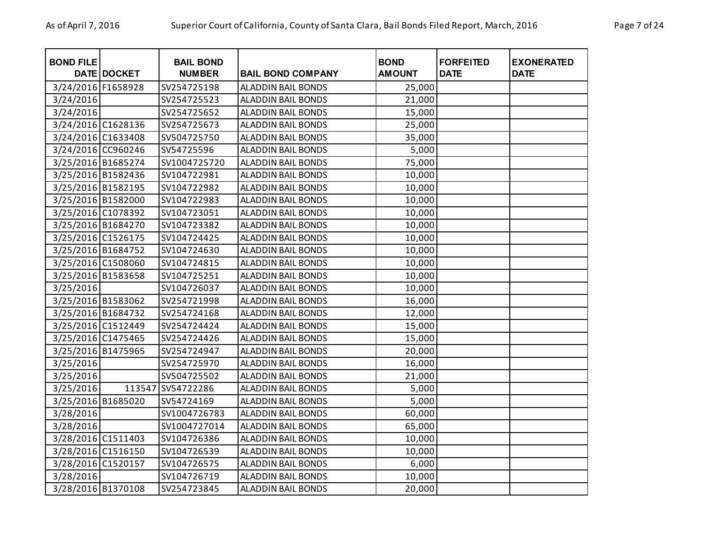| <b>BOND FILE</b>   | DATE DOCKET | <b>BAIL BOND</b><br><b>NUMBER</b> | <b>BAIL BOND COMPANY</b>  | <b>BOND</b><br><b>AMOUNT</b> | <b>FORFEITED</b><br><b>DATE</b> | <b>EXONERATED</b><br><b>DATE</b> |
|--------------------|-------------|-----------------------------------|---------------------------|------------------------------|---------------------------------|----------------------------------|
| 3/24/2016 F1658928 |             | SV254725198                       | <b>ALADDIN BAIL BONDS</b> | 25,000                       |                                 |                                  |
| 3/24/2016          |             | SV254725523                       | <b>ALADDIN BAIL BONDS</b> | 21,000                       |                                 |                                  |
| 3/24/2016          |             | SV254725652                       | <b>ALADDIN BAIL BONDS</b> | 15,000                       |                                 |                                  |
| 3/24/2016 C1628136 |             | SV254725673                       | <b>ALADDIN BAIL BONDS</b> | 25,000                       |                                 |                                  |
| 3/24/2016 C1633408 |             | SV504725750                       | <b>ALADDIN BAIL BONDS</b> | 35,000                       |                                 |                                  |
| 3/24/2016 CC960246 |             | SV54725596                        | <b>ALADDIN BAIL BONDS</b> | 5,000                        |                                 |                                  |
| 3/25/2016 B1685274 |             | SV1004725720                      | <b>ALADDIN BAIL BONDS</b> | 75,000                       |                                 |                                  |
| 3/25/2016 B1582436 |             | SV104722981                       | ALADDIN BAIL BONDS        | 10,000                       |                                 |                                  |
| 3/25/2016 B1582195 |             | SV104722982                       | <b>ALADDIN BAIL BONDS</b> | 10,000                       |                                 |                                  |
| 3/25/2016 B1582000 |             | SV104722983                       | <b>ALADDIN BAIL BONDS</b> | 10,000                       |                                 |                                  |
| 3/25/2016 C1078392 |             | SV104723051                       | <b>ALADDIN BAIL BONDS</b> | 10,000                       |                                 |                                  |
| 3/25/2016 B1684270 |             | SV104723382                       | <b>ALADDIN BAIL BONDS</b> | 10,000                       |                                 |                                  |
| 3/25/2016 C1526175 |             | SV104724425                       | <b>ALADDIN BAIL BONDS</b> | 10,000                       |                                 |                                  |
| 3/25/2016 B1684752 |             | SV104724630                       | <b>ALADDIN BAIL BONDS</b> | 10,000                       |                                 |                                  |
| 3/25/2016 C1508060 |             | SV104724815                       | <b>ALADDIN BAIL BONDS</b> | 10,000                       |                                 |                                  |
| 3/25/2016 B1583658 |             | SV104725251                       | <b>ALADDIN BAIL BONDS</b> | 10,000                       |                                 |                                  |
| 3/25/2016          |             | SV104726037                       | <b>ALADDIN BAIL BONDS</b> | 10,000                       |                                 |                                  |
| 3/25/2016 B1583062 |             | SV254721998                       | ALADDIN BAIL BONDS        | 16,000                       |                                 |                                  |
| 3/25/2016 B1684732 |             | SV254724168                       | ALADDIN BAIL BONDS        | 12,000                       |                                 |                                  |
| 3/25/2016 C1512449 |             | SV254724424                       | <b>ALADDIN BAIL BONDS</b> | 15,000                       |                                 |                                  |
| 3/25/2016 C1475465 |             | SV254724426                       | <b>ALADDIN BAIL BONDS</b> | 15,000                       |                                 |                                  |
| 3/25/2016 B1475965 |             | SV254724947                       | <b>ALADDIN BAIL BONDS</b> | 20,000                       |                                 |                                  |
| 3/25/2016          |             | SV254725970                       | <b>ALADDIN BAIL BONDS</b> | 16,000                       |                                 |                                  |
| 3/25/2016          |             | SV504725502                       | <b>ALADDIN BAIL BONDS</b> | 21,000                       |                                 |                                  |
| 3/25/2016          |             | 113547 SV54722286                 | <b>ALADDIN BAIL BONDS</b> | 5,000                        |                                 |                                  |
| 3/25/2016 B1685020 |             | SV54724169                        | <b>ALADDIN BAIL BONDS</b> | 5,000                        |                                 |                                  |
| 3/28/2016          |             | SV1004726783                      | <b>ALADDIN BAIL BONDS</b> | 60,000                       |                                 |                                  |
| 3/28/2016          |             | SV1004727014                      | ALADDIN BAIL BONDS        | 65,000                       |                                 |                                  |
| 3/28/2016 C1511403 |             | SV104726386                       | <b>ALADDIN BAIL BONDS</b> | 10,000                       |                                 |                                  |
| 3/28/2016 C1516150 |             | SV104726539                       | <b>ALADDIN BAIL BONDS</b> | 10,000                       |                                 |                                  |
| 3/28/2016 C1520157 |             | SV104726575                       | <b>ALADDIN BAIL BONDS</b> | 6,000                        |                                 |                                  |
| 3/28/2016          |             | SV104726719                       | <b>ALADDIN BAIL BONDS</b> | 10,000                       |                                 |                                  |
| 3/28/2016 B1370108 |             | SV254723845                       | <b>ALADDIN BAIL BONDS</b> | 20,000                       |                                 |                                  |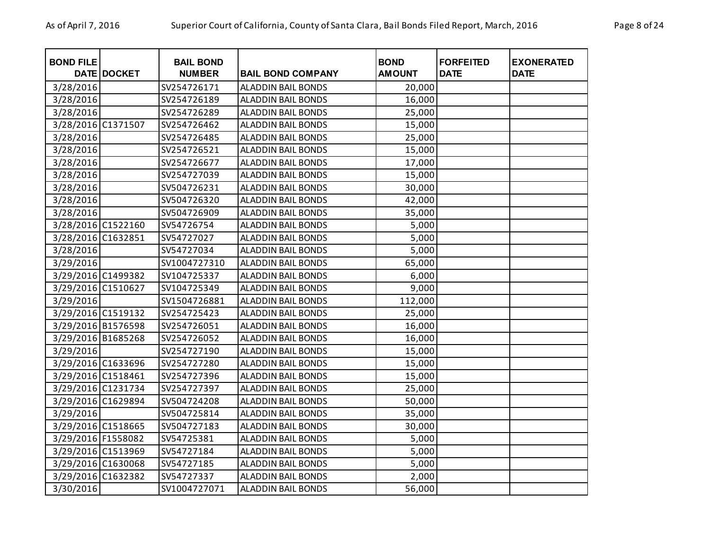| <b>BOND FILE</b>   | DATE DOCKET | <b>BAIL BOND</b><br><b>NUMBER</b> | <b>BAIL BOND COMPANY</b>  | <b>BOND</b><br><b>AMOUNT</b> | <b>FORFEITED</b><br><b>DATE</b> | <b>EXONERATED</b><br><b>DATE</b> |
|--------------------|-------------|-----------------------------------|---------------------------|------------------------------|---------------------------------|----------------------------------|
| 3/28/2016          |             | SV254726171                       | <b>ALADDIN BAIL BONDS</b> | 20,000                       |                                 |                                  |
| 3/28/2016          |             | SV254726189                       | <b>ALADDIN BAIL BONDS</b> | 16,000                       |                                 |                                  |
| 3/28/2016          |             | SV254726289                       | <b>ALADDIN BAIL BONDS</b> | 25,000                       |                                 |                                  |
| 3/28/2016 C1371507 |             | SV254726462                       | ALADDIN BAIL BONDS        | 15,000                       |                                 |                                  |
| 3/28/2016          |             | SV254726485                       | <b>ALADDIN BAIL BONDS</b> | 25,000                       |                                 |                                  |
| 3/28/2016          |             | SV254726521                       | <b>ALADDIN BAIL BONDS</b> | 15,000                       |                                 |                                  |
| 3/28/2016          |             | SV254726677                       | ALADDIN BAIL BONDS        | 17,000                       |                                 |                                  |
| 3/28/2016          |             | SV254727039                       | ALADDIN BAIL BONDS        | 15,000                       |                                 |                                  |
| 3/28/2016          |             | SV504726231                       | <b>ALADDIN BAIL BONDS</b> | 30,000                       |                                 |                                  |
| 3/28/2016          |             | SV504726320                       | <b>ALADDIN BAIL BONDS</b> | 42,000                       |                                 |                                  |
| 3/28/2016          |             | SV504726909                       | <b>ALADDIN BAIL BONDS</b> | 35,000                       |                                 |                                  |
| 3/28/2016 C1522160 |             | SV54726754                        | <b>ALADDIN BAIL BONDS</b> | 5,000                        |                                 |                                  |
| 3/28/2016 C1632851 |             | SV54727027                        | <b>ALADDIN BAIL BONDS</b> | 5,000                        |                                 |                                  |
| 3/28/2016          |             | SV54727034                        | <b>ALADDIN BAIL BONDS</b> | 5,000                        |                                 |                                  |
| 3/29/2016          |             | SV1004727310                      | <b>ALADDIN BAIL BONDS</b> | 65,000                       |                                 |                                  |
| 3/29/2016 C1499382 |             | SV104725337                       | <b>ALADDIN BAIL BONDS</b> | 6,000                        |                                 |                                  |
| 3/29/2016 C1510627 |             | SV104725349                       | <b>ALADDIN BAIL BONDS</b> | 9,000                        |                                 |                                  |
| 3/29/2016          |             | SV1504726881                      | <b>ALADDIN BAIL BONDS</b> | 112,000                      |                                 |                                  |
| 3/29/2016 C1519132 |             | SV254725423                       | <b>ALADDIN BAIL BONDS</b> | 25,000                       |                                 |                                  |
| 3/29/2016 B1576598 |             | SV254726051                       | <b>ALADDIN BAIL BONDS</b> | 16,000                       |                                 |                                  |
| 3/29/2016 B1685268 |             | SV254726052                       | <b>ALADDIN BAIL BONDS</b> | 16,000                       |                                 |                                  |
| 3/29/2016          |             | SV254727190                       | <b>ALADDIN BAIL BONDS</b> | 15,000                       |                                 |                                  |
| 3/29/2016 C1633696 |             | SV254727280                       | <b>ALADDIN BAIL BONDS</b> | 15,000                       |                                 |                                  |
| 3/29/2016 C1518461 |             | SV254727396                       | <b>ALADDIN BAIL BONDS</b> | 15,000                       |                                 |                                  |
| 3/29/2016 C1231734 |             | SV254727397                       | <b>ALADDIN BAIL BONDS</b> | 25,000                       |                                 |                                  |
| 3/29/2016 C1629894 |             | SV504724208                       | <b>ALADDIN BAIL BONDS</b> | 50,000                       |                                 |                                  |
| 3/29/2016          |             | SV504725814                       | <b>ALADDIN BAIL BONDS</b> | 35,000                       |                                 |                                  |
| 3/29/2016 C1518665 |             | SV504727183                       | <b>ALADDIN BAIL BONDS</b> | 30,000                       |                                 |                                  |
| 3/29/2016 F1558082 |             | SV54725381                        | <b>ALADDIN BAIL BONDS</b> | 5,000                        |                                 |                                  |
| 3/29/2016 C1513969 |             | SV54727184                        | <b>ALADDIN BAIL BONDS</b> | 5,000                        |                                 |                                  |
| 3/29/2016 C1630068 |             | SV54727185                        | <b>ALADDIN BAIL BONDS</b> | 5,000                        |                                 |                                  |
| 3/29/2016 C1632382 |             | SV54727337                        | <b>ALADDIN BAIL BONDS</b> | 2,000                        |                                 |                                  |
| 3/30/2016          |             | SV1004727071                      | <b>ALADDIN BAIL BONDS</b> | 56,000                       |                                 |                                  |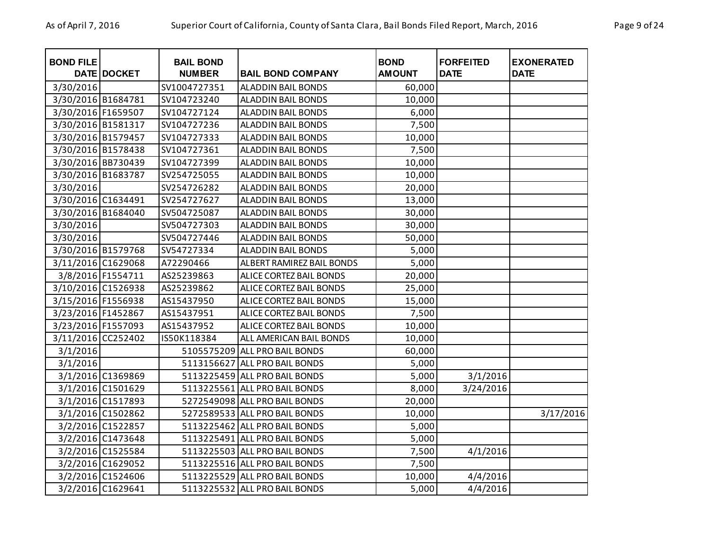| <b>BOND FILE</b>   | DATE DOCKET       | <b>BAIL BOND</b><br><b>NUMBER</b> | <b>BAIL BOND COMPANY</b>       | <b>BOND</b><br><b>AMOUNT</b> | <b>FORFEITED</b><br><b>DATE</b> | <b>EXONERATED</b><br><b>DATE</b> |
|--------------------|-------------------|-----------------------------------|--------------------------------|------------------------------|---------------------------------|----------------------------------|
| 3/30/2016          |                   | SV1004727351                      | <b>ALADDIN BAIL BONDS</b>      | 60,000                       |                                 |                                  |
| 3/30/2016 B1684781 |                   | SV104723240                       | <b>ALADDIN BAIL BONDS</b>      | 10,000                       |                                 |                                  |
| 3/30/2016 F1659507 |                   | SV104727124                       | <b>ALADDIN BAIL BONDS</b>      | 6,000                        |                                 |                                  |
| 3/30/2016 B1581317 |                   | SV104727236                       | ALADDIN BAIL BONDS             | 7,500                        |                                 |                                  |
| 3/30/2016 B1579457 |                   | SV104727333                       | <b>ALADDIN BAIL BONDS</b>      | 10,000                       |                                 |                                  |
| 3/30/2016 B1578438 |                   | SV104727361                       | <b>ALADDIN BAIL BONDS</b>      | 7,500                        |                                 |                                  |
| 3/30/2016 BB730439 |                   | SV104727399                       | ALADDIN BAIL BONDS             | 10,000                       |                                 |                                  |
| 3/30/2016 B1683787 |                   | SV254725055                       | <b>ALADDIN BAIL BONDS</b>      | 10,000                       |                                 |                                  |
| 3/30/2016          |                   | SV254726282                       | <b>ALADDIN BAIL BONDS</b>      | 20,000                       |                                 |                                  |
| 3/30/2016 C1634491 |                   | SV254727627                       | <b>ALADDIN BAIL BONDS</b>      | 13,000                       |                                 |                                  |
| 3/30/2016 B1684040 |                   | SV504725087                       | <b>ALADDIN BAIL BONDS</b>      | 30,000                       |                                 |                                  |
| 3/30/2016          |                   | SV504727303                       | <b>ALADDIN BAIL BONDS</b>      | 30,000                       |                                 |                                  |
| 3/30/2016          |                   | SV504727446                       | ALADDIN BAIL BONDS             | 50,000                       |                                 |                                  |
| 3/30/2016 B1579768 |                   | SV54727334                        | <b>ALADDIN BAIL BONDS</b>      | 5,000                        |                                 |                                  |
| 3/11/2016 C1629068 |                   | A72290466                         | ALBERT RAMIREZ BAIL BONDS      | 5,000                        |                                 |                                  |
|                    | 3/8/2016 F1554711 | AS25239863                        | ALICE CORTEZ BAIL BONDS        | 20,000                       |                                 |                                  |
| 3/10/2016 C1526938 |                   | AS25239862                        | ALICE CORTEZ BAIL BONDS        | 25,000                       |                                 |                                  |
| 3/15/2016 F1556938 |                   | AS15437950                        | ALICE CORTEZ BAIL BONDS        | 15,000                       |                                 |                                  |
| 3/23/2016 F1452867 |                   | AS15437951                        | ALICE CORTEZ BAIL BONDS        | 7,500                        |                                 |                                  |
| 3/23/2016 F1557093 |                   | AS15437952                        | <b>ALICE CORTEZ BAIL BONDS</b> | 10,000                       |                                 |                                  |
| 3/11/2016 CC252402 |                   | IS50K118384                       | ALL AMERICAN BAIL BONDS        | 10,000                       |                                 |                                  |
| 3/1/2016           |                   |                                   | 5105575209 ALL PRO BAIL BONDS  | 60,000                       |                                 |                                  |
| 3/1/2016           |                   |                                   | 5113156627 ALL PRO BAIL BONDS  | 5,000                        |                                 |                                  |
|                    | 3/1/2016 C1369869 |                                   | 5113225459 ALL PRO BAIL BONDS  | 5,000                        | 3/1/2016                        |                                  |
|                    | 3/1/2016 C1501629 |                                   | 5113225561 ALL PRO BAIL BONDS  | 8,000                        | 3/24/2016                       |                                  |
|                    | 3/1/2016 C1517893 |                                   | 5272549098 ALL PRO BAIL BONDS  | 20,000                       |                                 |                                  |
|                    | 3/1/2016 C1502862 |                                   | 5272589533 ALL PRO BAIL BONDS  | 10,000                       |                                 | 3/17/2016                        |
|                    | 3/2/2016 C1522857 |                                   | 5113225462 ALL PRO BAIL BONDS  | 5,000                        |                                 |                                  |
|                    | 3/2/2016 C1473648 |                                   | 5113225491 ALL PRO BAIL BONDS  | 5,000                        |                                 |                                  |
|                    | 3/2/2016 C1525584 |                                   | 5113225503 ALL PRO BAIL BONDS  | 7,500                        | 4/1/2016                        |                                  |
|                    | 3/2/2016 C1629052 |                                   | 5113225516 ALL PRO BAIL BONDS  | 7,500                        |                                 |                                  |
|                    | 3/2/2016 C1524606 |                                   | 5113225529 ALL PRO BAIL BONDS  | 10,000                       | 4/4/2016                        |                                  |
|                    | 3/2/2016 C1629641 |                                   | 5113225532 ALL PRO BAIL BONDS  | 5,000                        | 4/4/2016                        |                                  |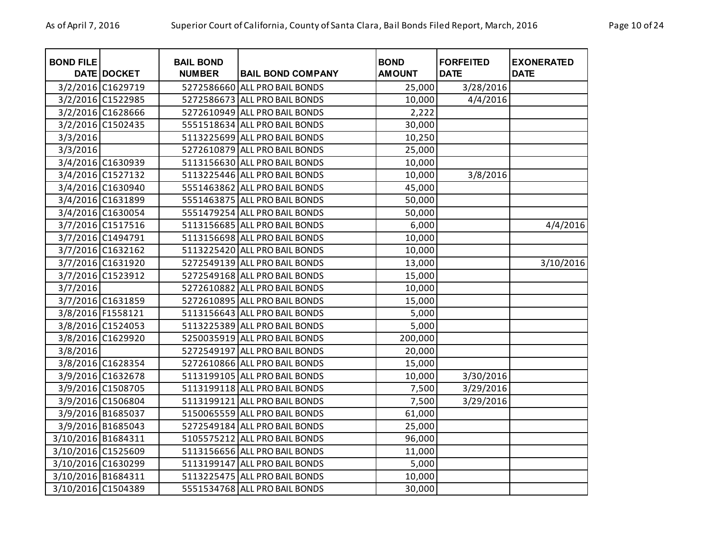| <b>BOND FILE</b>   | <b>DATE DOCKET</b> | <b>BAIL BOND</b><br><b>NUMBER</b> | <b>BAIL BOND COMPANY</b>      | <b>BOND</b><br><b>AMOUNT</b> | <b>FORFEITED</b><br><b>DATE</b> | <b>EXONERATED</b><br><b>DATE</b> |
|--------------------|--------------------|-----------------------------------|-------------------------------|------------------------------|---------------------------------|----------------------------------|
|                    | 3/2/2016 C1629719  |                                   | 5272586660 ALL PRO BAIL BONDS | 25,000                       | 3/28/2016                       |                                  |
|                    | 3/2/2016 C1522985  |                                   | 5272586673 ALL PRO BAIL BONDS | 10,000                       | 4/4/2016                        |                                  |
|                    | 3/2/2016 C1628666  |                                   | 5272610949 ALL PRO BAIL BONDS | 2,222                        |                                 |                                  |
|                    | 3/2/2016 C1502435  |                                   | 5551518634 ALL PRO BAIL BONDS | 30,000                       |                                 |                                  |
| 3/3/2016           |                    |                                   | 5113225699 ALL PRO BAIL BONDS | 10,250                       |                                 |                                  |
| 3/3/2016           |                    |                                   | 5272610879 ALL PRO BAIL BONDS | 25,000                       |                                 |                                  |
|                    | 3/4/2016 C1630939  |                                   | 5113156630 ALL PRO BAIL BONDS | 10,000                       |                                 |                                  |
|                    | 3/4/2016 C1527132  |                                   | 5113225446 ALL PRO BAIL BONDS | 10,000                       | 3/8/2016                        |                                  |
|                    | 3/4/2016 C1630940  |                                   | 5551463862 ALL PRO BAIL BONDS | 45,000                       |                                 |                                  |
|                    | 3/4/2016 C1631899  |                                   | 5551463875 ALL PRO BAIL BONDS | 50,000                       |                                 |                                  |
|                    | 3/4/2016 C1630054  |                                   | 5551479254 ALL PRO BAIL BONDS | 50,000                       |                                 |                                  |
|                    | 3/7/2016 C1517516  |                                   | 5113156685 ALL PRO BAIL BONDS | 6,000                        |                                 | 4/4/2016                         |
|                    | 3/7/2016 C1494791  |                                   | 5113156698 ALL PRO BAIL BONDS | 10,000                       |                                 |                                  |
|                    | 3/7/2016 C1632162  |                                   | 5113225420 ALL PRO BAIL BONDS | 10,000                       |                                 |                                  |
|                    | 3/7/2016 C1631920  |                                   | 5272549139 ALL PRO BAIL BONDS | 13,000                       |                                 | 3/10/2016                        |
|                    | 3/7/2016 C1523912  |                                   | 5272549168 ALL PRO BAIL BONDS | 15,000                       |                                 |                                  |
| 3/7/2016           |                    |                                   | 5272610882 ALL PRO BAIL BONDS | 10,000                       |                                 |                                  |
|                    | 3/7/2016 C1631859  |                                   | 5272610895 ALL PRO BAIL BONDS | 15,000                       |                                 |                                  |
|                    | 3/8/2016 F1558121  |                                   | 5113156643 ALL PRO BAIL BONDS | 5,000                        |                                 |                                  |
|                    | 3/8/2016 C1524053  |                                   | 5113225389 ALL PRO BAIL BONDS | 5,000                        |                                 |                                  |
|                    | 3/8/2016 C1629920  |                                   | 5250035919 ALL PRO BAIL BONDS | 200,000                      |                                 |                                  |
| 3/8/2016           |                    |                                   | 5272549197 ALL PRO BAIL BONDS | 20,000                       |                                 |                                  |
|                    | 3/8/2016 C1628354  |                                   | 5272610866 ALL PRO BAIL BONDS | 15,000                       |                                 |                                  |
|                    | 3/9/2016 C1632678  |                                   | 5113199105 ALL PRO BAIL BONDS | 10,000                       | 3/30/2016                       |                                  |
|                    | 3/9/2016 C1508705  |                                   | 5113199118 ALL PRO BAIL BONDS | 7,500                        | 3/29/2016                       |                                  |
|                    | 3/9/2016 C1506804  |                                   | 5113199121 ALL PRO BAIL BONDS | 7,500                        | 3/29/2016                       |                                  |
|                    | 3/9/2016 B1685037  |                                   | 5150065559 ALL PRO BAIL BONDS | 61,000                       |                                 |                                  |
|                    | 3/9/2016 B1685043  |                                   | 5272549184 ALL PRO BAIL BONDS | 25,000                       |                                 |                                  |
| 3/10/2016 B1684311 |                    |                                   | 5105575212 ALL PRO BAIL BONDS | 96,000                       |                                 |                                  |
| 3/10/2016 C1525609 |                    |                                   | 5113156656 ALL PRO BAIL BONDS | 11,000                       |                                 |                                  |
| 3/10/2016 C1630299 |                    |                                   | 5113199147 ALL PRO BAIL BONDS | 5,000                        |                                 |                                  |
| 3/10/2016 B1684311 |                    |                                   | 5113225475 ALL PRO BAIL BONDS | 10,000                       |                                 |                                  |
| 3/10/2016 C1504389 |                    |                                   | 5551534768 ALL PRO BAIL BONDS | 30,000                       |                                 |                                  |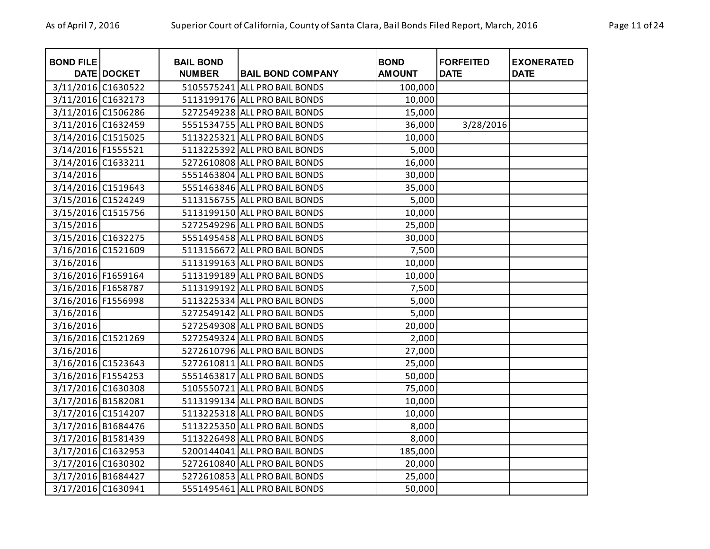| <b>BOND FILE</b>   | DATE DOCKET | <b>BAIL BOND</b><br><b>NUMBER</b> | <b>BAIL BOND COMPANY</b>      | <b>BOND</b><br><b>AMOUNT</b> | <b>FORFEITED</b><br><b>DATE</b> | <b>EXONERATED</b><br><b>DATE</b> |
|--------------------|-------------|-----------------------------------|-------------------------------|------------------------------|---------------------------------|----------------------------------|
| 3/11/2016 C1630522 |             |                                   | 5105575241 ALL PRO BAIL BONDS | 100,000                      |                                 |                                  |
| 3/11/2016 C1632173 |             |                                   | 5113199176 ALL PRO BAIL BONDS | 10,000                       |                                 |                                  |
| 3/11/2016 C1506286 |             |                                   | 5272549238 ALL PRO BAIL BONDS | 15,000                       |                                 |                                  |
| 3/11/2016 C1632459 |             |                                   | 5551534755 ALL PRO BAIL BONDS | 36,000                       | 3/28/2016                       |                                  |
| 3/14/2016 C1515025 |             |                                   | 5113225321 ALL PRO BAIL BONDS | 10,000                       |                                 |                                  |
| 3/14/2016 F1555521 |             |                                   | 5113225392 ALL PRO BAIL BONDS | 5,000                        |                                 |                                  |
| 3/14/2016 C1633211 |             |                                   | 5272610808 ALL PRO BAIL BONDS | 16,000                       |                                 |                                  |
| 3/14/2016          |             |                                   | 5551463804 ALL PRO BAIL BONDS | 30,000                       |                                 |                                  |
| 3/14/2016 C1519643 |             |                                   | 5551463846 ALL PRO BAIL BONDS | 35,000                       |                                 |                                  |
| 3/15/2016 C1524249 |             |                                   | 5113156755 ALL PRO BAIL BONDS | 5,000                        |                                 |                                  |
| 3/15/2016 C1515756 |             |                                   | 5113199150 ALL PRO BAIL BONDS | 10,000                       |                                 |                                  |
| 3/15/2016          |             |                                   | 5272549296 ALL PRO BAIL BONDS | 25,000                       |                                 |                                  |
| 3/15/2016 C1632275 |             |                                   | 5551495458 ALL PRO BAIL BONDS | 30,000                       |                                 |                                  |
| 3/16/2016 C1521609 |             |                                   | 5113156672 ALL PRO BAIL BONDS | 7,500                        |                                 |                                  |
| 3/16/2016          |             |                                   | 5113199163 ALL PRO BAIL BONDS | 10,000                       |                                 |                                  |
| 3/16/2016 F1659164 |             |                                   | 5113199189 ALL PRO BAIL BONDS | 10,000                       |                                 |                                  |
| 3/16/2016 F1658787 |             |                                   | 5113199192 ALL PRO BAIL BONDS | 7,500                        |                                 |                                  |
| 3/16/2016 F1556998 |             |                                   | 5113225334 ALL PRO BAIL BONDS | 5,000                        |                                 |                                  |
| 3/16/2016          |             |                                   | 5272549142 ALL PRO BAIL BONDS | 5,000                        |                                 |                                  |
| 3/16/2016          |             |                                   | 5272549308 ALL PRO BAIL BONDS | 20,000                       |                                 |                                  |
| 3/16/2016 C1521269 |             |                                   | 5272549324 ALL PRO BAIL BONDS | 2,000                        |                                 |                                  |
| 3/16/2016          |             |                                   | 5272610796 ALL PRO BAIL BONDS | 27,000                       |                                 |                                  |
| 3/16/2016 C1523643 |             |                                   | 5272610811 ALL PRO BAIL BONDS | 25,000                       |                                 |                                  |
| 3/16/2016 F1554253 |             |                                   | 5551463817 ALL PRO BAIL BONDS | 50,000                       |                                 |                                  |
| 3/17/2016 C1630308 |             |                                   | 5105550721 ALL PRO BAIL BONDS | 75,000                       |                                 |                                  |
| 3/17/2016 B1582081 |             |                                   | 5113199134 ALL PRO BAIL BONDS | 10,000                       |                                 |                                  |
| 3/17/2016 C1514207 |             |                                   | 5113225318 ALL PRO BAIL BONDS | 10,000                       |                                 |                                  |
| 3/17/2016 B1684476 |             |                                   | 5113225350 ALL PRO BAIL BONDS | 8,000                        |                                 |                                  |
| 3/17/2016 B1581439 |             |                                   | 5113226498 ALL PRO BAIL BONDS | 8,000                        |                                 |                                  |
| 3/17/2016 C1632953 |             |                                   | 5200144041 ALL PRO BAIL BONDS | 185,000                      |                                 |                                  |
| 3/17/2016 C1630302 |             |                                   | 5272610840 ALL PRO BAIL BONDS | 20,000                       |                                 |                                  |
| 3/17/2016 B1684427 |             |                                   | 5272610853 ALL PRO BAIL BONDS | 25,000                       |                                 |                                  |
| 3/17/2016 C1630941 |             |                                   | 5551495461 ALL PRO BAIL BONDS | 50,000                       |                                 |                                  |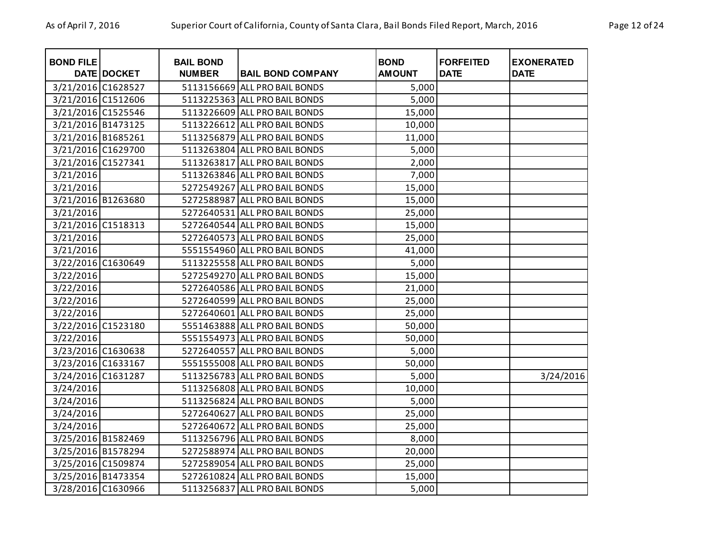| <b>BOND FILE</b>   | <b>DATE DOCKET</b> | <b>BAIL BOND</b><br><b>NUMBER</b> | <b>BAIL BOND COMPANY</b>      | <b>BOND</b><br><b>AMOUNT</b> | <b>FORFEITED</b><br><b>DATE</b> | <b>EXONERATED</b><br><b>DATE</b> |
|--------------------|--------------------|-----------------------------------|-------------------------------|------------------------------|---------------------------------|----------------------------------|
| 3/21/2016 C1628527 |                    |                                   | 5113156669 ALL PRO BAIL BONDS | 5,000                        |                                 |                                  |
| 3/21/2016 C1512606 |                    |                                   | 5113225363 ALL PRO BAIL BONDS | 5,000                        |                                 |                                  |
| 3/21/2016 C1525546 |                    |                                   | 5113226609 ALL PRO BAIL BONDS | 15,000                       |                                 |                                  |
| 3/21/2016 B1473125 |                    |                                   | 5113226612 ALL PRO BAIL BONDS | 10,000                       |                                 |                                  |
| 3/21/2016 B1685261 |                    |                                   | 5113256879 ALL PRO BAIL BONDS | 11,000                       |                                 |                                  |
| 3/21/2016 C1629700 |                    |                                   | 5113263804 ALL PRO BAIL BONDS | 5,000                        |                                 |                                  |
| 3/21/2016 C1527341 |                    |                                   | 5113263817 ALL PRO BAIL BONDS | 2,000                        |                                 |                                  |
| 3/21/2016          |                    |                                   | 5113263846 ALL PRO BAIL BONDS | 7,000                        |                                 |                                  |
| 3/21/2016          |                    |                                   | 5272549267 ALL PRO BAIL BONDS | 15,000                       |                                 |                                  |
| 3/21/2016 B1263680 |                    |                                   | 5272588987 ALL PRO BAIL BONDS | 15,000                       |                                 |                                  |
| 3/21/2016          |                    |                                   | 5272640531 ALL PRO BAIL BONDS | 25,000                       |                                 |                                  |
| 3/21/2016 C1518313 |                    |                                   | 5272640544 ALL PRO BAIL BONDS | 15,000                       |                                 |                                  |
| 3/21/2016          |                    |                                   | 5272640573 ALL PRO BAIL BONDS | 25,000                       |                                 |                                  |
| 3/21/2016          |                    |                                   | 5551554960 ALL PRO BAIL BONDS | 41,000                       |                                 |                                  |
| 3/22/2016 C1630649 |                    |                                   | 5113225558 ALL PRO BAIL BONDS | 5,000                        |                                 |                                  |
| 3/22/2016          |                    |                                   | 5272549270 ALL PRO BAIL BONDS | 15,000                       |                                 |                                  |
| 3/22/2016          |                    |                                   | 5272640586 ALL PRO BAIL BONDS | 21,000                       |                                 |                                  |
| 3/22/2016          |                    |                                   | 5272640599 ALL PRO BAIL BONDS | 25,000                       |                                 |                                  |
| 3/22/2016          |                    |                                   | 5272640601 ALL PRO BAIL BONDS | 25,000                       |                                 |                                  |
| 3/22/2016 C1523180 |                    |                                   | 5551463888 ALL PRO BAIL BONDS | 50,000                       |                                 |                                  |
| 3/22/2016          |                    |                                   | 5551554973 ALL PRO BAIL BONDS | 50,000                       |                                 |                                  |
| 3/23/2016 C1630638 |                    |                                   | 5272640557 ALL PRO BAIL BONDS | 5,000                        |                                 |                                  |
| 3/23/2016 C1633167 |                    |                                   | 5551555008 ALL PRO BAIL BONDS | 50,000                       |                                 |                                  |
| 3/24/2016 C1631287 |                    |                                   | 5113256783 ALL PRO BAIL BONDS | 5,000                        |                                 | 3/24/2016                        |
| 3/24/2016          |                    |                                   | 5113256808 ALL PRO BAIL BONDS | 10,000                       |                                 |                                  |
| 3/24/2016          |                    |                                   | 5113256824 ALL PRO BAIL BONDS | 5,000                        |                                 |                                  |
| 3/24/2016          |                    |                                   | 5272640627 ALL PRO BAIL BONDS | 25,000                       |                                 |                                  |
| 3/24/2016          |                    |                                   | 5272640672 ALL PRO BAIL BONDS | 25,000                       |                                 |                                  |
| 3/25/2016 B1582469 |                    |                                   | 5113256796 ALL PRO BAIL BONDS | 8,000                        |                                 |                                  |
| 3/25/2016 B1578294 |                    |                                   | 5272588974 ALL PRO BAIL BONDS | 20,000                       |                                 |                                  |
| 3/25/2016 C1509874 |                    |                                   | 5272589054 ALL PRO BAIL BONDS | 25,000                       |                                 |                                  |
| 3/25/2016 B1473354 |                    |                                   | 5272610824 ALL PRO BAIL BONDS | 15,000                       |                                 |                                  |
| 3/28/2016 C1630966 |                    |                                   | 5113256837 ALL PRO BAIL BONDS | 5,000                        |                                 |                                  |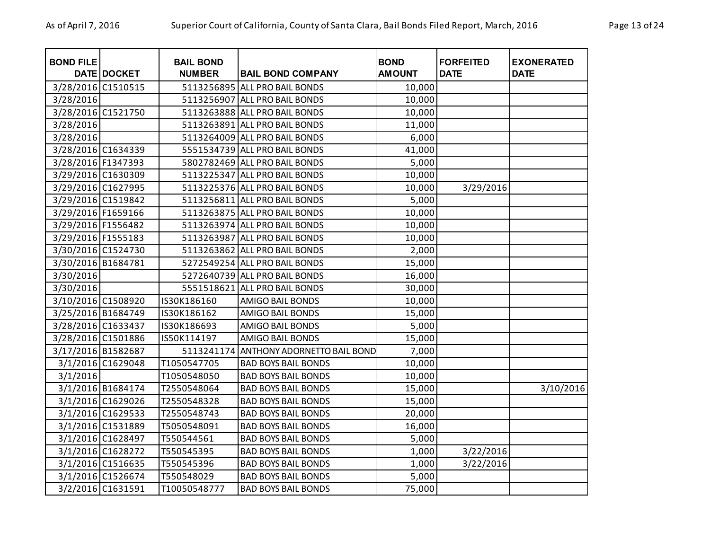| <b>BOND FILE</b>   | DATE DOCKET       | <b>BAIL BOND</b><br><b>NUMBER</b> | <b>BAIL BOND COMPANY</b>           | <b>BOND</b><br><b>AMOUNT</b> | <b>FORFEITED</b><br><b>DATE</b> | <b>EXONERATED</b><br><b>DATE</b> |
|--------------------|-------------------|-----------------------------------|------------------------------------|------------------------------|---------------------------------|----------------------------------|
| 3/28/2016 C1510515 |                   |                                   | 5113256895 ALL PRO BAIL BONDS      | 10,000                       |                                 |                                  |
| 3/28/2016          |                   |                                   | 5113256907 ALL PRO BAIL BONDS      | 10,000                       |                                 |                                  |
| 3/28/2016 C1521750 |                   |                                   | 5113263888 ALL PRO BAIL BONDS      | 10,000                       |                                 |                                  |
| 3/28/2016          |                   |                                   | 5113263891 ALL PRO BAIL BONDS      | 11,000                       |                                 |                                  |
| 3/28/2016          |                   |                                   | 5113264009 ALL PRO BAIL BONDS      | 6,000                        |                                 |                                  |
| 3/28/2016 C1634339 |                   |                                   | 5551534739 ALL PRO BAIL BONDS      | 41,000                       |                                 |                                  |
| 3/28/2016 F1347393 |                   |                                   | 5802782469 ALL PRO BAIL BONDS      | 5,000                        |                                 |                                  |
| 3/29/2016 C1630309 |                   |                                   | 5113225347 ALL PRO BAIL BONDS      | 10,000                       |                                 |                                  |
| 3/29/2016 C1627995 |                   |                                   | 5113225376 ALL PRO BAIL BONDS      | 10,000                       | 3/29/2016                       |                                  |
| 3/29/2016 C1519842 |                   |                                   | 5113256811 ALL PRO BAIL BONDS      | 5,000                        |                                 |                                  |
| 3/29/2016 F1659166 |                   |                                   | 5113263875 ALL PRO BAIL BONDS      | 10,000                       |                                 |                                  |
| 3/29/2016 F1556482 |                   |                                   | 5113263974 ALL PRO BAIL BONDS      | 10,000                       |                                 |                                  |
| 3/29/2016 F1555183 |                   |                                   | 5113263987 ALL PRO BAIL BONDS      | 10,000                       |                                 |                                  |
| 3/30/2016 C1524730 |                   |                                   | 5113263862 ALL PRO BAIL BONDS      | 2,000                        |                                 |                                  |
| 3/30/2016 B1684781 |                   |                                   | 5272549254 ALL PRO BAIL BONDS      | 15,000                       |                                 |                                  |
| 3/30/2016          |                   |                                   | 5272640739 ALL PRO BAIL BONDS      | 16,000                       |                                 |                                  |
| 3/30/2016          |                   | 5551518621                        | <b>ALL PRO BAIL BONDS</b>          | 30,000                       |                                 |                                  |
| 3/10/2016 C1508920 |                   | IS30K186160                       | AMIGO BAIL BONDS                   | 10,000                       |                                 |                                  |
| 3/25/2016 B1684749 |                   | IS30K186162                       | AMIGO BAIL BONDS                   | 15,000                       |                                 |                                  |
| 3/28/2016 C1633437 |                   | IS30K186693                       | <b>AMIGO BAIL BONDS</b>            | 5,000                        |                                 |                                  |
| 3/28/2016 C1501886 |                   | IS50K114197                       | <b>AMIGO BAIL BONDS</b>            | 15,000                       |                                 |                                  |
| 3/17/2016 B1582687 |                   | 5113241174                        | <b>ANTHONY ADORNETTO BAIL BOND</b> | 7,000                        |                                 |                                  |
|                    | 3/1/2016 C1629048 | T1050547705                       | <b>BAD BOYS BAIL BONDS</b>         | 10,000                       |                                 |                                  |
| 3/1/2016           |                   | T1050548050                       | <b>BAD BOYS BAIL BONDS</b>         | 10,000                       |                                 |                                  |
|                    | 3/1/2016 B1684174 | T2550548064                       | <b>BAD BOYS BAIL BONDS</b>         | 15,000                       |                                 | 3/10/2016                        |
|                    | 3/1/2016 C1629026 | T2550548328                       | <b>BAD BOYS BAIL BONDS</b>         | 15,000                       |                                 |                                  |
|                    | 3/1/2016 C1629533 | T2550548743                       | <b>BAD BOYS BAIL BONDS</b>         | 20,000                       |                                 |                                  |
|                    | 3/1/2016 C1531889 | T5050548091                       | <b>BAD BOYS BAIL BONDS</b>         | 16,000                       |                                 |                                  |
|                    | 3/1/2016 C1628497 | T550544561                        | <b>BAD BOYS BAIL BONDS</b>         | 5,000                        |                                 |                                  |
|                    | 3/1/2016 C1628272 | T550545395                        | <b>BAD BOYS BAIL BONDS</b>         | 1,000                        | 3/22/2016                       |                                  |
|                    | 3/1/2016 C1516635 | T550545396                        | <b>BAD BOYS BAIL BONDS</b>         | 1,000                        | 3/22/2016                       |                                  |
|                    | 3/1/2016 C1526674 | T550548029                        | <b>BAD BOYS BAIL BONDS</b>         | 5,000                        |                                 |                                  |
|                    | 3/2/2016 C1631591 | T10050548777                      | <b>BAD BOYS BAIL BONDS</b>         | 75,000                       |                                 |                                  |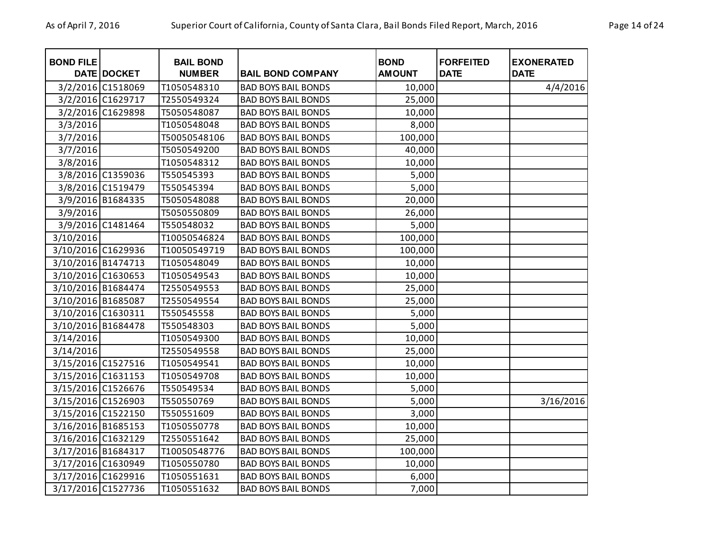| <b>BOND FILE</b>   | DATE DOCKET       | <b>BAIL BOND</b><br><b>NUMBER</b> | <b>BAIL BOND COMPANY</b>   | <b>BOND</b><br><b>AMOUNT</b> | <b>FORFEITED</b><br><b>DATE</b> | <b>EXONERATED</b><br><b>DATE</b> |
|--------------------|-------------------|-----------------------------------|----------------------------|------------------------------|---------------------------------|----------------------------------|
|                    | 3/2/2016 C1518069 | T1050548310                       | <b>BAD BOYS BAIL BONDS</b> | 10,000                       |                                 | 4/4/2016                         |
|                    | 3/2/2016 C1629717 | T2550549324                       | <b>BAD BOYS BAIL BONDS</b> | 25,000                       |                                 |                                  |
|                    | 3/2/2016 C1629898 | T5050548087                       | <b>BAD BOYS BAIL BONDS</b> | 10,000                       |                                 |                                  |
| 3/3/2016           |                   | T1050548048                       | <b>BAD BOYS BAIL BONDS</b> | 8,000                        |                                 |                                  |
| 3/7/2016           |                   | T50050548106                      | <b>BAD BOYS BAIL BONDS</b> | 100,000                      |                                 |                                  |
| 3/7/2016           |                   | T5050549200                       | <b>BAD BOYS BAIL BONDS</b> | 40,000                       |                                 |                                  |
| 3/8/2016           |                   | T1050548312                       | <b>BAD BOYS BAIL BONDS</b> | 10,000                       |                                 |                                  |
|                    | 3/8/2016 C1359036 | T550545393                        | <b>BAD BOYS BAIL BONDS</b> | 5,000                        |                                 |                                  |
|                    | 3/8/2016 C1519479 | T550545394                        | <b>BAD BOYS BAIL BONDS</b> | 5,000                        |                                 |                                  |
|                    | 3/9/2016 B1684335 | T5050548088                       | <b>BAD BOYS BAIL BONDS</b> | 20,000                       |                                 |                                  |
| 3/9/2016           |                   | T5050550809                       | <b>BAD BOYS BAIL BONDS</b> | 26,000                       |                                 |                                  |
|                    | 3/9/2016 C1481464 | T550548032                        | <b>BAD BOYS BAIL BONDS</b> | 5,000                        |                                 |                                  |
| 3/10/2016          |                   | T10050546824                      | <b>BAD BOYS BAIL BONDS</b> | 100,000                      |                                 |                                  |
| 3/10/2016 C1629936 |                   | T10050549719                      | <b>BAD BOYS BAIL BONDS</b> | 100,000                      |                                 |                                  |
| 3/10/2016 B1474713 |                   | T1050548049                       | <b>BAD BOYS BAIL BONDS</b> | 10,000                       |                                 |                                  |
| 3/10/2016 C1630653 |                   | T1050549543                       | <b>BAD BOYS BAIL BONDS</b> | 10,000                       |                                 |                                  |
| 3/10/2016 B1684474 |                   | T2550549553                       | <b>BAD BOYS BAIL BONDS</b> | 25,000                       |                                 |                                  |
| 3/10/2016 B1685087 |                   | T2550549554                       | <b>BAD BOYS BAIL BONDS</b> | 25,000                       |                                 |                                  |
| 3/10/2016 C1630311 |                   | T550545558                        | <b>BAD BOYS BAIL BONDS</b> | 5,000                        |                                 |                                  |
| 3/10/2016 B1684478 |                   | T550548303                        | <b>BAD BOYS BAIL BONDS</b> | 5,000                        |                                 |                                  |
| 3/14/2016          |                   | T1050549300                       | <b>BAD BOYS BAIL BONDS</b> | 10,000                       |                                 |                                  |
| 3/14/2016          |                   | T2550549558                       | <b>BAD BOYS BAIL BONDS</b> | 25,000                       |                                 |                                  |
| 3/15/2016 C1527516 |                   | T1050549541                       | <b>BAD BOYS BAIL BONDS</b> | 10,000                       |                                 |                                  |
| 3/15/2016 C1631153 |                   | T1050549708                       | <b>BAD BOYS BAIL BONDS</b> | 10,000                       |                                 |                                  |
| 3/15/2016 C1526676 |                   | T550549534                        | <b>BAD BOYS BAIL BONDS</b> | 5,000                        |                                 |                                  |
| 3/15/2016 C1526903 |                   | T550550769                        | <b>BAD BOYS BAIL BONDS</b> | 5,000                        |                                 | 3/16/2016                        |
| 3/15/2016 C1522150 |                   | T550551609                        | <b>BAD BOYS BAIL BONDS</b> | 3,000                        |                                 |                                  |
| 3/16/2016 B1685153 |                   | T1050550778                       | <b>BAD BOYS BAIL BONDS</b> | 10,000                       |                                 |                                  |
| 3/16/2016 C1632129 |                   | T2550551642                       | <b>BAD BOYS BAIL BONDS</b> | 25,000                       |                                 |                                  |
| 3/17/2016 B1684317 |                   | T10050548776                      | <b>BAD BOYS BAIL BONDS</b> | 100,000                      |                                 |                                  |
| 3/17/2016 C1630949 |                   | T1050550780                       | <b>BAD BOYS BAIL BONDS</b> | 10,000                       |                                 |                                  |
| 3/17/2016 C1629916 |                   | T1050551631                       | <b>BAD BOYS BAIL BONDS</b> | 6,000                        |                                 |                                  |
| 3/17/2016 C1527736 |                   | T1050551632                       | <b>BAD BOYS BAIL BONDS</b> | 7,000                        |                                 |                                  |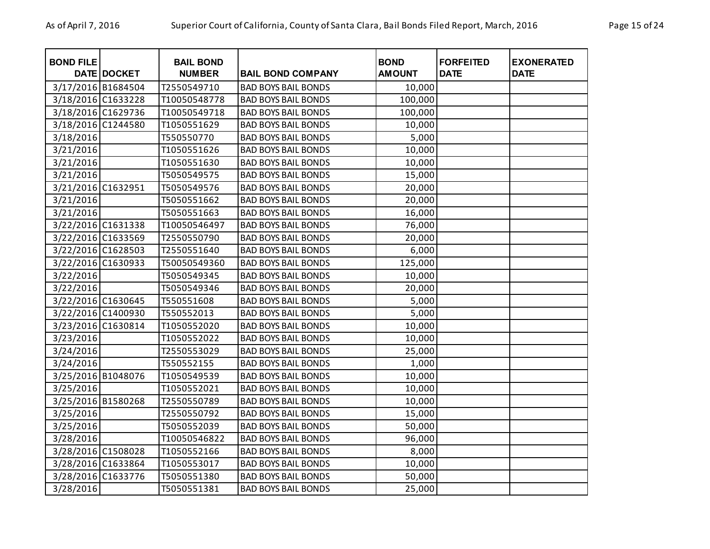| <b>BOND FILE</b>   | <b>DATE DOCKET</b> | <b>BAIL BOND</b><br><b>NUMBER</b> | <b>BAIL BOND COMPANY</b>   | <b>BOND</b><br><b>AMOUNT</b> | <b>FORFEITED</b><br><b>DATE</b> | <b>EXONERATED</b><br><b>DATE</b> |
|--------------------|--------------------|-----------------------------------|----------------------------|------------------------------|---------------------------------|----------------------------------|
| 3/17/2016 B1684504 |                    | T2550549710                       | <b>BAD BOYS BAIL BONDS</b> | 10,000                       |                                 |                                  |
| 3/18/2016 C1633228 |                    | T10050548778                      | <b>BAD BOYS BAIL BONDS</b> | 100,000                      |                                 |                                  |
| 3/18/2016 C1629736 |                    | T10050549718                      | <b>BAD BOYS BAIL BONDS</b> | 100,000                      |                                 |                                  |
| 3/18/2016 C1244580 |                    | T1050551629                       | <b>BAD BOYS BAIL BONDS</b> | 10,000                       |                                 |                                  |
| 3/18/2016          |                    | T550550770                        | <b>BAD BOYS BAIL BONDS</b> | 5,000                        |                                 |                                  |
| 3/21/2016          |                    | T1050551626                       | <b>BAD BOYS BAIL BONDS</b> | 10,000                       |                                 |                                  |
| 3/21/2016          |                    | T1050551630                       | <b>BAD BOYS BAIL BONDS</b> | 10,000                       |                                 |                                  |
| 3/21/2016          |                    | T5050549575                       | <b>BAD BOYS BAIL BONDS</b> | 15,000                       |                                 |                                  |
| 3/21/2016 C1632951 |                    | T5050549576                       | <b>BAD BOYS BAIL BONDS</b> | 20,000                       |                                 |                                  |
| 3/21/2016          |                    | T5050551662                       | <b>BAD BOYS BAIL BONDS</b> | 20,000                       |                                 |                                  |
| 3/21/2016          |                    | T5050551663                       | <b>BAD BOYS BAIL BONDS</b> | 16,000                       |                                 |                                  |
| 3/22/2016 C1631338 |                    | T10050546497                      | <b>BAD BOYS BAIL BONDS</b> | 76,000                       |                                 |                                  |
| 3/22/2016 C1633569 |                    | T2550550790                       | <b>BAD BOYS BAIL BONDS</b> | 20,000                       |                                 |                                  |
| 3/22/2016 C1628503 |                    | T2550551640                       | <b>BAD BOYS BAIL BONDS</b> | 6,000                        |                                 |                                  |
| 3/22/2016 C1630933 |                    | T50050549360                      | <b>BAD BOYS BAIL BONDS</b> | 125,000                      |                                 |                                  |
| 3/22/2016          |                    | T5050549345                       | <b>BAD BOYS BAIL BONDS</b> | 10,000                       |                                 |                                  |
| 3/22/2016          |                    | T5050549346                       | <b>BAD BOYS BAIL BONDS</b> | 20,000                       |                                 |                                  |
| 3/22/2016 C1630645 |                    | T550551608                        | <b>BAD BOYS BAIL BONDS</b> | 5,000                        |                                 |                                  |
| 3/22/2016 C1400930 |                    | T550552013                        | <b>BAD BOYS BAIL BONDS</b> | 5,000                        |                                 |                                  |
| 3/23/2016 C1630814 |                    | T1050552020                       | <b>BAD BOYS BAIL BONDS</b> | 10,000                       |                                 |                                  |
| 3/23/2016          |                    | T1050552022                       | <b>BAD BOYS BAIL BONDS</b> | 10,000                       |                                 |                                  |
| 3/24/2016          |                    | T2550553029                       | <b>BAD BOYS BAIL BONDS</b> | 25,000                       |                                 |                                  |
| 3/24/2016          |                    | T550552155                        | <b>BAD BOYS BAIL BONDS</b> | 1,000                        |                                 |                                  |
| 3/25/2016 B1048076 |                    | T1050549539                       | <b>BAD BOYS BAIL BONDS</b> | 10,000                       |                                 |                                  |
| 3/25/2016          |                    | T1050552021                       | <b>BAD BOYS BAIL BONDS</b> | 10,000                       |                                 |                                  |
| 3/25/2016 B1580268 |                    | T2550550789                       | <b>BAD BOYS BAIL BONDS</b> | 10,000                       |                                 |                                  |
| 3/25/2016          |                    | T2550550792                       | <b>BAD BOYS BAIL BONDS</b> | 15,000                       |                                 |                                  |
| 3/25/2016          |                    | T5050552039                       | <b>BAD BOYS BAIL BONDS</b> | 50,000                       |                                 |                                  |
| 3/28/2016          |                    | T10050546822                      | <b>BAD BOYS BAIL BONDS</b> | 96,000                       |                                 |                                  |
| 3/28/2016 C1508028 |                    | T1050552166                       | <b>BAD BOYS BAIL BONDS</b> | 8,000                        |                                 |                                  |
| 3/28/2016 C1633864 |                    | T1050553017                       | <b>BAD BOYS BAIL BONDS</b> | 10,000                       |                                 |                                  |
| 3/28/2016 C1633776 |                    | T5050551380                       | <b>BAD BOYS BAIL BONDS</b> | 50,000                       |                                 |                                  |
| 3/28/2016          |                    | T5050551381                       | <b>BAD BOYS BAIL BONDS</b> | 25,000                       |                                 |                                  |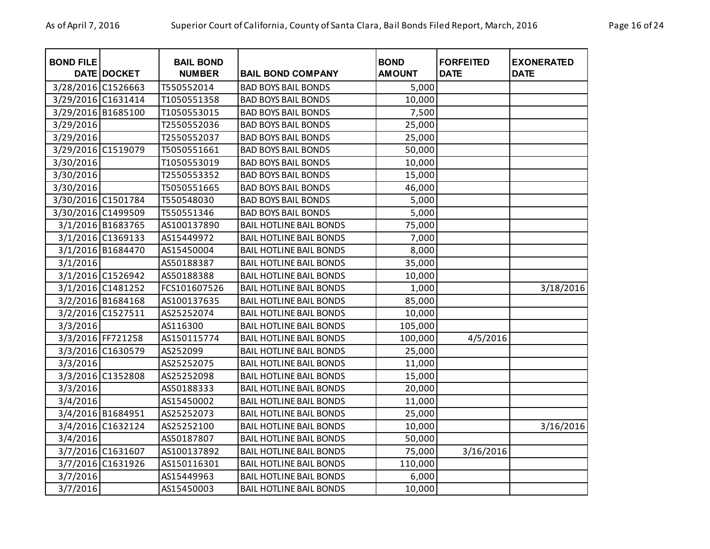| <b>BOND FILE</b>   | DATE DOCKET       | <b>BAIL BOND</b><br><b>NUMBER</b> | <b>BAIL BOND COMPANY</b>       | <b>BOND</b><br><b>AMOUNT</b> | <b>FORFEITED</b><br><b>DATE</b> | <b>EXONERATED</b><br><b>DATE</b> |
|--------------------|-------------------|-----------------------------------|--------------------------------|------------------------------|---------------------------------|----------------------------------|
| 3/28/2016 C1526663 |                   | T550552014                        | <b>BAD BOYS BAIL BONDS</b>     | 5,000                        |                                 |                                  |
| 3/29/2016 C1631414 |                   | T1050551358                       | <b>BAD BOYS BAIL BONDS</b>     | 10,000                       |                                 |                                  |
| 3/29/2016 B1685100 |                   | T1050553015                       | <b>BAD BOYS BAIL BONDS</b>     | 7,500                        |                                 |                                  |
| 3/29/2016          |                   | T2550552036                       | <b>BAD BOYS BAIL BONDS</b>     | 25,000                       |                                 |                                  |
| 3/29/2016          |                   | T2550552037                       | <b>BAD BOYS BAIL BONDS</b>     | 25,000                       |                                 |                                  |
| 3/29/2016 C1519079 |                   | T5050551661                       | <b>BAD BOYS BAIL BONDS</b>     | 50,000                       |                                 |                                  |
| 3/30/2016          |                   | T1050553019                       | <b>BAD BOYS BAIL BONDS</b>     | 10,000                       |                                 |                                  |
| 3/30/2016          |                   | T2550553352                       | <b>BAD BOYS BAIL BONDS</b>     | 15,000                       |                                 |                                  |
| 3/30/2016          |                   | T5050551665                       | <b>BAD BOYS BAIL BONDS</b>     | 46,000                       |                                 |                                  |
| 3/30/2016 C1501784 |                   | T550548030                        | <b>BAD BOYS BAIL BONDS</b>     | 5,000                        |                                 |                                  |
| 3/30/2016 C1499509 |                   | T550551346                        | <b>BAD BOYS BAIL BONDS</b>     | 5,000                        |                                 |                                  |
|                    | 3/1/2016 B1683765 | AS100137890                       | <b>BAIL HOTLINE BAIL BONDS</b> | 75,000                       |                                 |                                  |
|                    | 3/1/2016 C1369133 | AS15449972                        | <b>BAIL HOTLINE BAIL BONDS</b> | 7,000                        |                                 |                                  |
|                    | 3/1/2016 B1684470 | AS15450004                        | <b>BAIL HOTLINE BAIL BONDS</b> | 8,000                        |                                 |                                  |
| 3/1/2016           |                   | AS50188387                        | <b>BAIL HOTLINE BAIL BONDS</b> | 35,000                       |                                 |                                  |
|                    | 3/1/2016 C1526942 | AS50188388                        | <b>BAIL HOTLINE BAIL BONDS</b> | 10,000                       |                                 |                                  |
|                    | 3/1/2016 C1481252 | FCS101607526                      | <b>BAIL HOTLINE BAIL BONDS</b> | 1,000                        |                                 | 3/18/2016                        |
|                    | 3/2/2016 B1684168 | AS100137635                       | <b>BAIL HOTLINE BAIL BONDS</b> | 85,000                       |                                 |                                  |
|                    | 3/2/2016 C1527511 | AS25252074                        | <b>BAIL HOTLINE BAIL BONDS</b> | 10,000                       |                                 |                                  |
| 3/3/2016           |                   | AS116300                          | <b>BAIL HOTLINE BAIL BONDS</b> | 105,000                      |                                 |                                  |
|                    | 3/3/2016 FF721258 | AS150115774                       | <b>BAIL HOTLINE BAIL BONDS</b> | 100,000                      | 4/5/2016                        |                                  |
|                    | 3/3/2016 C1630579 | AS252099                          | <b>BAIL HOTLINE BAIL BONDS</b> | 25,000                       |                                 |                                  |
| 3/3/2016           |                   | AS25252075                        | <b>BAIL HOTLINE BAIL BONDS</b> | 11,000                       |                                 |                                  |
|                    | 3/3/2016 C1352808 | AS25252098                        | <b>BAIL HOTLINE BAIL BONDS</b> | 15,000                       |                                 |                                  |
| 3/3/2016           |                   | AS50188333                        | <b>BAIL HOTLINE BAIL BONDS</b> | 20,000                       |                                 |                                  |
| 3/4/2016           |                   | AS15450002                        | <b>BAIL HOTLINE BAIL BONDS</b> | 11,000                       |                                 |                                  |
|                    | 3/4/2016 B1684951 | AS25252073                        | <b>BAIL HOTLINE BAIL BONDS</b> | 25,000                       |                                 |                                  |
|                    | 3/4/2016 C1632124 | AS25252100                        | <b>BAIL HOTLINE BAIL BONDS</b> | 10,000                       |                                 | 3/16/2016                        |
| 3/4/2016           |                   | AS50187807                        | <b>BAIL HOTLINE BAIL BONDS</b> | 50,000                       |                                 |                                  |
|                    | 3/7/2016 C1631607 | AS100137892                       | <b>BAIL HOTLINE BAIL BONDS</b> | 75,000                       | 3/16/2016                       |                                  |
|                    | 3/7/2016 C1631926 | AS150116301                       | <b>BAIL HOTLINE BAIL BONDS</b> | 110,000                      |                                 |                                  |
| 3/7/2016           |                   | AS15449963                        | <b>BAIL HOTLINE BAIL BONDS</b> | 6,000                        |                                 |                                  |
| 3/7/2016           |                   | AS15450003                        | <b>BAIL HOTLINE BAIL BONDS</b> | 10,000                       |                                 |                                  |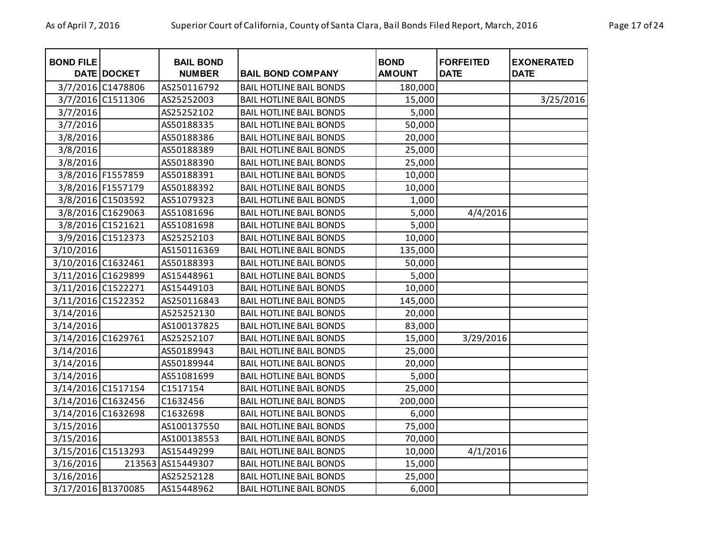| <b>BOND FILE</b>   | DATE DOCKET       | <b>BAIL BOND</b><br><b>NUMBER</b> | <b>BAIL BOND COMPANY</b>       | <b>BOND</b><br><b>AMOUNT</b> | <b>FORFEITED</b><br><b>DATE</b> | <b>EXONERATED</b><br><b>DATE</b> |
|--------------------|-------------------|-----------------------------------|--------------------------------|------------------------------|---------------------------------|----------------------------------|
|                    | 3/7/2016 C1478806 | AS250116792                       | <b>BAIL HOTLINE BAIL BONDS</b> | 180,000                      |                                 |                                  |
|                    | 3/7/2016 C1511306 | AS25252003                        | <b>BAIL HOTLINE BAIL BONDS</b> | 15,000                       |                                 | 3/25/2016                        |
| 3/7/2016           |                   | AS25252102                        | <b>BAIL HOTLINE BAIL BONDS</b> | 5,000                        |                                 |                                  |
| 3/7/2016           |                   | AS50188335                        | <b>BAIL HOTLINE BAIL BONDS</b> | 50,000                       |                                 |                                  |
| 3/8/2016           |                   | AS50188386                        | <b>BAIL HOTLINE BAIL BONDS</b> | 20,000                       |                                 |                                  |
| 3/8/2016           |                   | AS50188389                        | <b>BAIL HOTLINE BAIL BONDS</b> | 25,000                       |                                 |                                  |
| 3/8/2016           |                   | AS50188390                        | <b>BAIL HOTLINE BAIL BONDS</b> | 25,000                       |                                 |                                  |
|                    | 3/8/2016 F1557859 | AS50188391                        | <b>BAIL HOTLINE BAIL BONDS</b> | 10,000                       |                                 |                                  |
|                    | 3/8/2016 F1557179 | AS50188392                        | <b>BAIL HOTLINE BAIL BONDS</b> | 10,000                       |                                 |                                  |
|                    | 3/8/2016 C1503592 | AS51079323                        | <b>BAIL HOTLINE BAIL BONDS</b> | 1,000                        |                                 |                                  |
|                    | 3/8/2016 C1629063 | AS51081696                        | <b>BAIL HOTLINE BAIL BONDS</b> | 5,000                        | 4/4/2016                        |                                  |
|                    | 3/8/2016 C1521621 | AS51081698                        | <b>BAIL HOTLINE BAIL BONDS</b> | 5,000                        |                                 |                                  |
|                    | 3/9/2016 C1512373 | AS25252103                        | <b>BAIL HOTLINE BAIL BONDS</b> | 10,000                       |                                 |                                  |
| 3/10/2016          |                   | AS150116369                       | <b>BAIL HOTLINE BAIL BONDS</b> | 135,000                      |                                 |                                  |
| 3/10/2016 C1632461 |                   | AS50188393                        | <b>BAIL HOTLINE BAIL BONDS</b> | 50,000                       |                                 |                                  |
| 3/11/2016 C1629899 |                   | AS15448961                        | <b>BAIL HOTLINE BAIL BONDS</b> | 5,000                        |                                 |                                  |
| 3/11/2016 C1522271 |                   | AS15449103                        | <b>BAIL HOTLINE BAIL BONDS</b> | 10,000                       |                                 |                                  |
| 3/11/2016 C1522352 |                   | AS250116843                       | <b>BAIL HOTLINE BAIL BONDS</b> | 145,000                      |                                 |                                  |
| 3/14/2016          |                   | A525252130                        | <b>BAIL HOTLINE BAIL BONDS</b> | 20,000                       |                                 |                                  |
| 3/14/2016          |                   | AS100137825                       | <b>BAIL HOTLINE BAIL BONDS</b> | 83,000                       |                                 |                                  |
| 3/14/2016 C1629761 |                   | AS25252107                        | <b>BAIL HOTLINE BAIL BONDS</b> | 15,000                       | 3/29/2016                       |                                  |
| 3/14/2016          |                   | AS50189943                        | <b>BAIL HOTLINE BAIL BONDS</b> | 25,000                       |                                 |                                  |
| 3/14/2016          |                   | AS50189944                        | <b>BAIL HOTLINE BAIL BONDS</b> | 20,000                       |                                 |                                  |
| 3/14/2016          |                   | AS51081699                        | <b>BAIL HOTLINE BAIL BONDS</b> | 5,000                        |                                 |                                  |
| 3/14/2016 C1517154 |                   | C1517154                          | <b>BAIL HOTLINE BAIL BONDS</b> | 25,000                       |                                 |                                  |
| 3/14/2016 C1632456 |                   | C1632456                          | <b>BAIL HOTLINE BAIL BONDS</b> | 200,000                      |                                 |                                  |
| 3/14/2016 C1632698 |                   | C1632698                          | <b>BAIL HOTLINE BAIL BONDS</b> | 6,000                        |                                 |                                  |
| 3/15/2016          |                   | AS100137550                       | <b>BAIL HOTLINE BAIL BONDS</b> | 75,000                       |                                 |                                  |
| 3/15/2016          |                   | AS100138553                       | <b>BAIL HOTLINE BAIL BONDS</b> | 70,000                       |                                 |                                  |
| 3/15/2016 C1513293 |                   | AS15449299                        | <b>BAIL HOTLINE BAIL BONDS</b> | 10,000                       | 4/1/2016                        |                                  |
| 3/16/2016          | 213563            | AS15449307                        | <b>BAIL HOTLINE BAIL BONDS</b> | 15,000                       |                                 |                                  |
| 3/16/2016          |                   | AS25252128                        | <b>BAIL HOTLINE BAIL BONDS</b> | 25,000                       |                                 |                                  |
| 3/17/2016 B1370085 |                   | AS15448962                        | <b>BAIL HOTLINE BAIL BONDS</b> | 6,000                        |                                 |                                  |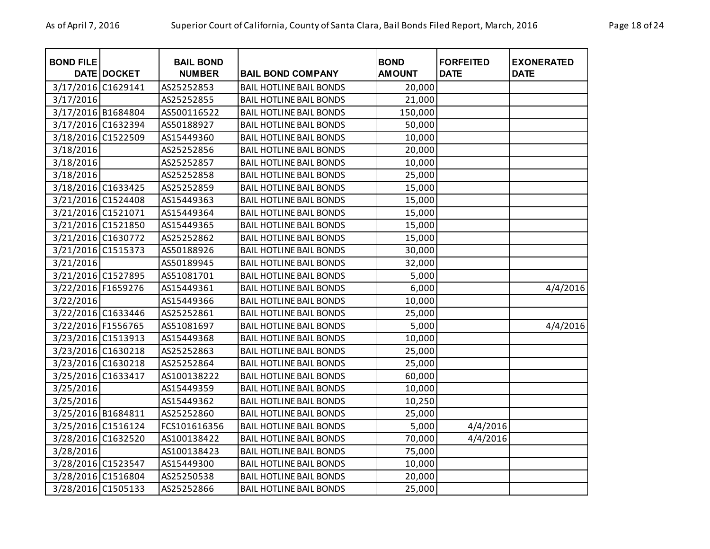| <b>BOND FILE</b>   | <b>DATE DOCKET</b> | <b>BAIL BOND</b><br><b>NUMBER</b> | <b>BAIL BOND COMPANY</b>       | <b>BOND</b><br><b>AMOUNT</b> | <b>FORFEITED</b><br><b>DATE</b> | <b>EXONERATED</b><br><b>DATE</b> |
|--------------------|--------------------|-----------------------------------|--------------------------------|------------------------------|---------------------------------|----------------------------------|
| 3/17/2016 C1629141 |                    | AS25252853                        | <b>BAIL HOTLINE BAIL BONDS</b> | 20,000                       |                                 |                                  |
| 3/17/2016          |                    | AS25252855                        | <b>BAIL HOTLINE BAIL BONDS</b> | 21,000                       |                                 |                                  |
| 3/17/2016 B1684804 |                    | AS500116522                       | <b>BAIL HOTLINE BAIL BONDS</b> | 150,000                      |                                 |                                  |
| 3/17/2016 C1632394 |                    | AS50188927                        | <b>BAIL HOTLINE BAIL BONDS</b> | 50,000                       |                                 |                                  |
| 3/18/2016 C1522509 |                    | AS15449360                        | <b>BAIL HOTLINE BAIL BONDS</b> | 10,000                       |                                 |                                  |
| 3/18/2016          |                    | AS25252856                        | <b>BAIL HOTLINE BAIL BONDS</b> | 20,000                       |                                 |                                  |
| 3/18/2016          |                    | AS25252857                        | <b>BAIL HOTLINE BAIL BONDS</b> | 10,000                       |                                 |                                  |
| 3/18/2016          |                    | AS25252858                        | <b>BAIL HOTLINE BAIL BONDS</b> | 25,000                       |                                 |                                  |
| 3/18/2016 C1633425 |                    | AS25252859                        | <b>BAIL HOTLINE BAIL BONDS</b> | 15,000                       |                                 |                                  |
| 3/21/2016 C1524408 |                    | AS15449363                        | <b>BAIL HOTLINE BAIL BONDS</b> | 15,000                       |                                 |                                  |
| 3/21/2016 C1521071 |                    | AS15449364                        | <b>BAIL HOTLINE BAIL BONDS</b> | 15,000                       |                                 |                                  |
| 3/21/2016 C1521850 |                    | AS15449365                        | <b>BAIL HOTLINE BAIL BONDS</b> | 15,000                       |                                 |                                  |
| 3/21/2016 C1630772 |                    | AS25252862                        | <b>BAIL HOTLINE BAIL BONDS</b> | 15,000                       |                                 |                                  |
| 3/21/2016 C1515373 |                    | AS50188926                        | <b>BAIL HOTLINE BAIL BONDS</b> | 30,000                       |                                 |                                  |
| 3/21/2016          |                    | AS50189945                        | <b>BAIL HOTLINE BAIL BONDS</b> | 32,000                       |                                 |                                  |
| 3/21/2016 C1527895 |                    | AS51081701                        | <b>BAIL HOTLINE BAIL BONDS</b> | 5,000                        |                                 |                                  |
| 3/22/2016 F1659276 |                    | AS15449361                        | <b>BAIL HOTLINE BAIL BONDS</b> | 6,000                        |                                 | 4/4/2016                         |
| 3/22/2016          |                    | AS15449366                        | <b>BAIL HOTLINE BAIL BONDS</b> | 10,000                       |                                 |                                  |
| 3/22/2016 C1633446 |                    | AS25252861                        | <b>BAIL HOTLINE BAIL BONDS</b> | 25,000                       |                                 |                                  |
| 3/22/2016 F1556765 |                    | AS51081697                        | <b>BAIL HOTLINE BAIL BONDS</b> | 5,000                        |                                 | 4/4/2016                         |
| 3/23/2016 C1513913 |                    | AS15449368                        | <b>BAIL HOTLINE BAIL BONDS</b> | 10,000                       |                                 |                                  |
| 3/23/2016 C1630218 |                    | AS25252863                        | <b>BAIL HOTLINE BAIL BONDS</b> | 25,000                       |                                 |                                  |
| 3/23/2016 C1630218 |                    | AS25252864                        | <b>BAIL HOTLINE BAIL BONDS</b> | 25,000                       |                                 |                                  |
| 3/25/2016 C1633417 |                    | AS100138222                       | <b>BAIL HOTLINE BAIL BONDS</b> | 60,000                       |                                 |                                  |
| 3/25/2016          |                    | AS15449359                        | <b>BAIL HOTLINE BAIL BONDS</b> | 10,000                       |                                 |                                  |
| 3/25/2016          |                    | AS15449362                        | <b>BAIL HOTLINE BAIL BONDS</b> | 10,250                       |                                 |                                  |
| 3/25/2016 B1684811 |                    | AS25252860                        | <b>BAIL HOTLINE BAIL BONDS</b> | 25,000                       |                                 |                                  |
| 3/25/2016 C1516124 |                    | FCS101616356                      | <b>BAIL HOTLINE BAIL BONDS</b> | 5,000                        | 4/4/2016                        |                                  |
| 3/28/2016 C1632520 |                    | AS100138422                       | <b>BAIL HOTLINE BAIL BONDS</b> | 70,000                       | 4/4/2016                        |                                  |
| 3/28/2016          |                    | AS100138423                       | <b>BAIL HOTLINE BAIL BONDS</b> | 75,000                       |                                 |                                  |
| 3/28/2016 C1523547 |                    | AS15449300                        | <b>BAIL HOTLINE BAIL BONDS</b> | 10,000                       |                                 |                                  |
| 3/28/2016 C1516804 |                    | AS25250538                        | <b>BAIL HOTLINE BAIL BONDS</b> | 20,000                       |                                 |                                  |
| 3/28/2016 C1505133 |                    | AS25252866                        | <b>BAIL HOTLINE BAIL BONDS</b> | 25,000                       |                                 |                                  |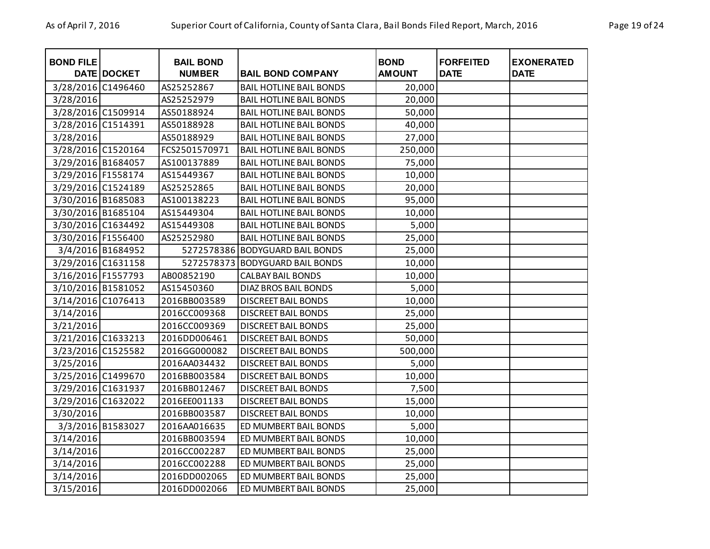| <b>BOND FILE</b>   | DATE DOCKET       | <b>BAIL BOND</b><br><b>NUMBER</b> | <b>BAIL BOND COMPANY</b>        | <b>BOND</b><br><b>AMOUNT</b> | <b>FORFEITED</b><br><b>DATE</b> | <b>EXONERATED</b><br><b>DATE</b> |
|--------------------|-------------------|-----------------------------------|---------------------------------|------------------------------|---------------------------------|----------------------------------|
| 3/28/2016 C1496460 |                   | AS25252867                        | <b>BAIL HOTLINE BAIL BONDS</b>  | 20,000                       |                                 |                                  |
| 3/28/2016          |                   | AS25252979                        | <b>BAIL HOTLINE BAIL BONDS</b>  | 20,000                       |                                 |                                  |
| 3/28/2016 C1509914 |                   | AS50188924                        | <b>BAIL HOTLINE BAIL BONDS</b>  | 50,000                       |                                 |                                  |
| 3/28/2016 C1514391 |                   | AS50188928                        | <b>BAIL HOTLINE BAIL BONDS</b>  | 40,000                       |                                 |                                  |
| 3/28/2016          |                   | AS50188929                        | <b>BAIL HOTLINE BAIL BONDS</b>  | 27,000                       |                                 |                                  |
| 3/28/2016 C1520164 |                   | FCS2501570971                     | <b>BAIL HOTLINE BAIL BONDS</b>  | 250,000                      |                                 |                                  |
| 3/29/2016 B1684057 |                   | AS100137889                       | <b>BAIL HOTLINE BAIL BONDS</b>  | 75,000                       |                                 |                                  |
| 3/29/2016 F1558174 |                   | AS15449367                        | <b>BAIL HOTLINE BAIL BONDS</b>  | 10,000                       |                                 |                                  |
| 3/29/2016 C1524189 |                   | AS25252865                        | <b>BAIL HOTLINE BAIL BONDS</b>  | 20,000                       |                                 |                                  |
| 3/30/2016 B1685083 |                   | AS100138223                       | <b>BAIL HOTLINE BAIL BONDS</b>  | 95,000                       |                                 |                                  |
| 3/30/2016 B1685104 |                   | AS15449304                        | <b>BAIL HOTLINE BAIL BONDS</b>  | 10,000                       |                                 |                                  |
| 3/30/2016 C1634492 |                   | AS15449308                        | <b>BAIL HOTLINE BAIL BONDS</b>  | 5,000                        |                                 |                                  |
| 3/30/2016 F1556400 |                   | AS25252980                        | <b>BAIL HOTLINE BAIL BONDS</b>  | 25,000                       |                                 |                                  |
|                    | 3/4/2016 B1684952 |                                   | 5272578386 BODYGUARD BAIL BONDS | 25,000                       |                                 |                                  |
| 3/29/2016 C1631158 |                   |                                   | 5272578373 BODYGUARD BAIL BONDS | 10,000                       |                                 |                                  |
| 3/16/2016 F1557793 |                   | AB00852190                        | <b>CALBAY BAIL BONDS</b>        | 10,000                       |                                 |                                  |
| 3/10/2016 B1581052 |                   | AS15450360                        | DIAZ BROS BAIL BONDS            | 5,000                        |                                 |                                  |
| 3/14/2016 C1076413 |                   | 2016BB003589                      | <b>DISCREET BAIL BONDS</b>      | 10,000                       |                                 |                                  |
| 3/14/2016          |                   | 2016CC009368                      | <b>DISCREET BAIL BONDS</b>      | 25,000                       |                                 |                                  |
| 3/21/2016          |                   | 2016CC009369                      | <b>DISCREET BAIL BONDS</b>      | 25,000                       |                                 |                                  |
| 3/21/2016 C1633213 |                   | 2016DD006461                      | <b>DISCREET BAIL BONDS</b>      | 50,000                       |                                 |                                  |
| 3/23/2016 C1525582 |                   | 2016GG000082                      | <b>DISCREET BAIL BONDS</b>      | 500,000                      |                                 |                                  |
| 3/25/2016          |                   | 2016AA034432                      | <b>DISCREET BAIL BONDS</b>      | 5,000                        |                                 |                                  |
| 3/25/2016 C1499670 |                   | 2016BB003584                      | <b>DISCREET BAIL BONDS</b>      | 10,000                       |                                 |                                  |
| 3/29/2016 C1631937 |                   | 2016BB012467                      | <b>DISCREET BAIL BONDS</b>      | 7,500                        |                                 |                                  |
| 3/29/2016 C1632022 |                   | 2016EE001133                      | <b>DISCREET BAIL BONDS</b>      | 15,000                       |                                 |                                  |
| 3/30/2016          |                   | 2016BB003587                      | <b>DISCREET BAIL BONDS</b>      | 10,000                       |                                 |                                  |
|                    | 3/3/2016 B1583027 | 2016AA016635                      | ED MUMBERT BAIL BONDS           | 5,000                        |                                 |                                  |
| 3/14/2016          |                   | 2016BB003594                      | ED MUMBERT BAIL BONDS           | 10,000                       |                                 |                                  |
| 3/14/2016          |                   | 2016CC002287                      | ED MUMBERT BAIL BONDS           | 25,000                       |                                 |                                  |
| 3/14/2016          |                   | 2016CC002288                      | ED MUMBERT BAIL BONDS           | 25,000                       |                                 |                                  |
| 3/14/2016          |                   | 2016DD002065                      | ED MUMBERT BAIL BONDS           | 25,000                       |                                 |                                  |
| 3/15/2016          |                   | 2016DD002066                      | ED MUMBERT BAIL BONDS           | 25,000                       |                                 |                                  |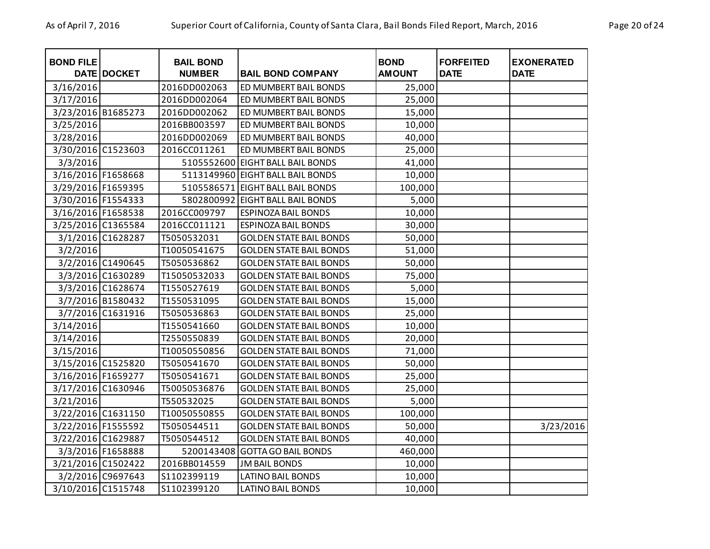| <b>BOND FILE</b>   | DATE DOCKET       | <b>BAIL BOND</b><br><b>NUMBER</b> | <b>BAIL BOND COMPANY</b>         | <b>BOND</b><br><b>AMOUNT</b> | <b>FORFEITED</b><br><b>DATE</b> | <b>EXONERATED</b><br><b>DATE</b> |
|--------------------|-------------------|-----------------------------------|----------------------------------|------------------------------|---------------------------------|----------------------------------|
| 3/16/2016          |                   | 2016DD002063                      | ED MUMBERT BAIL BONDS            | 25,000                       |                                 |                                  |
| 3/17/2016          |                   | 2016DD002064                      | ED MUMBERT BAIL BONDS            | 25,000                       |                                 |                                  |
| 3/23/2016 B1685273 |                   | 2016DD002062                      | ED MUMBERT BAIL BONDS            | 15,000                       |                                 |                                  |
| 3/25/2016          |                   | 2016BB003597                      | ED MUMBERT BAIL BONDS            | 10,000                       |                                 |                                  |
| 3/28/2016          |                   | 2016DD002069                      | ED MUMBERT BAIL BONDS            | 40,000                       |                                 |                                  |
| 3/30/2016 C1523603 |                   | 2016CC011261                      | ED MUMBERT BAIL BONDS            | 25,000                       |                                 |                                  |
| 3/3/2016           |                   | 5105552600                        | <b>EIGHT BALL BAIL BONDS</b>     | 41,000                       |                                 |                                  |
| 3/16/2016 F1658668 |                   | 5113149960                        | <b>EIGHT BALL BAIL BONDS</b>     | 10,000                       |                                 |                                  |
| 3/29/2016 F1659395 |                   |                                   | 5105586571 EIGHT BALL BAIL BONDS | 100,000                      |                                 |                                  |
| 3/30/2016 F1554333 |                   |                                   | 5802800992 EIGHT BALL BAIL BONDS | 5,000                        |                                 |                                  |
| 3/16/2016 F1658538 |                   | 2016CC009797                      | <b>ESPINOZA BAIL BONDS</b>       | 10,000                       |                                 |                                  |
| 3/25/2016 C1365584 |                   | 2016CC011121                      | <b>ESPINOZA BAIL BONDS</b>       | 30,000                       |                                 |                                  |
|                    | 3/1/2016 C1628287 | T5050532031                       | <b>GOLDEN STATE BAIL BONDS</b>   | 50,000                       |                                 |                                  |
| 3/2/2016           |                   | T10050541675                      | <b>GOLDEN STATE BAIL BONDS</b>   | 51,000                       |                                 |                                  |
|                    | 3/2/2016 C1490645 | T5050536862                       | <b>GOLDEN STATE BAIL BONDS</b>   | 50,000                       |                                 |                                  |
|                    | 3/3/2016 C1630289 | T15050532033                      | <b>GOLDEN STATE BAIL BONDS</b>   | 75,000                       |                                 |                                  |
|                    | 3/3/2016 C1628674 | T1550527619                       | <b>GOLDEN STATE BAIL BONDS</b>   | 5,000                        |                                 |                                  |
|                    | 3/7/2016 B1580432 | T1550531095                       | <b>GOLDEN STATE BAIL BONDS</b>   | 15,000                       |                                 |                                  |
|                    | 3/7/2016 C1631916 | T5050536863                       | <b>GOLDEN STATE BAIL BONDS</b>   | 25,000                       |                                 |                                  |
| 3/14/2016          |                   | T1550541660                       | <b>GOLDEN STATE BAIL BONDS</b>   | 10,000                       |                                 |                                  |
| 3/14/2016          |                   | T2550550839                       | <b>GOLDEN STATE BAIL BONDS</b>   | 20,000                       |                                 |                                  |
| 3/15/2016          |                   | T10050550856                      | <b>GOLDEN STATE BAIL BONDS</b>   | 71,000                       |                                 |                                  |
| 3/15/2016 C1525820 |                   | T5050541670                       | <b>GOLDEN STATE BAIL BONDS</b>   | 50,000                       |                                 |                                  |
| 3/16/2016 F1659277 |                   | T5050541671                       | <b>GOLDEN STATE BAIL BONDS</b>   | 25,000                       |                                 |                                  |
| 3/17/2016 C1630946 |                   | T50050536876                      | <b>GOLDEN STATE BAIL BONDS</b>   | 25,000                       |                                 |                                  |
| 3/21/2016          |                   | T550532025                        | <b>GOLDEN STATE BAIL BONDS</b>   | 5,000                        |                                 |                                  |
| 3/22/2016 C1631150 |                   | T10050550855                      | <b>GOLDEN STATE BAIL BONDS</b>   | 100,000                      |                                 |                                  |
| 3/22/2016 F1555592 |                   | T5050544511                       | <b>GOLDEN STATE BAIL BONDS</b>   | 50,000                       |                                 | 3/23/2016                        |
| 3/22/2016 C1629887 |                   | T5050544512                       | <b>GOLDEN STATE BAIL BONDS</b>   | 40,000                       |                                 |                                  |
|                    | 3/3/2016 F1658888 | 5200143408                        | <b>GOTTA GO BAIL BONDS</b>       | 460,000                      |                                 |                                  |
| 3/21/2016 C1502422 |                   | 2016BB014559                      | <b>JM BAIL BONDS</b>             | 10,000                       |                                 |                                  |
|                    | 3/2/2016 C9697643 | S1102399119                       | <b>LATINO BAIL BONDS</b>         | 10,000                       |                                 |                                  |
| 3/10/2016 C1515748 |                   | S1102399120                       | <b>LATINO BAIL BONDS</b>         | 10,000                       |                                 |                                  |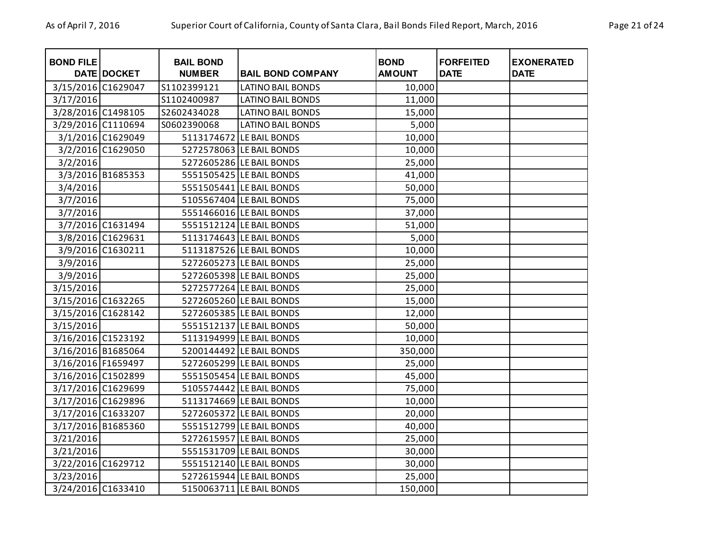| <b>BOND FILE</b>   | <b>DATE DOCKET</b> | <b>BAIL BOND</b><br><b>NUMBER</b> | <b>BAIL BOND COMPANY</b> | <b>BOND</b><br><b>AMOUNT</b> | <b>FORFEITED</b><br><b>DATE</b> | <b>EXONERATED</b><br><b>DATE</b> |
|--------------------|--------------------|-----------------------------------|--------------------------|------------------------------|---------------------------------|----------------------------------|
| 3/15/2016 C1629047 |                    | S1102399121                       | <b>LATINO BAIL BONDS</b> | 10,000                       |                                 |                                  |
| 3/17/2016          |                    | S1102400987                       | <b>LATINO BAIL BONDS</b> | 11,000                       |                                 |                                  |
| 3/28/2016 C1498105 |                    | S2602434028                       | <b>LATINO BAIL BONDS</b> | 15,000                       |                                 |                                  |
| 3/29/2016 C1110694 |                    | S0602390068                       | <b>LATINO BAIL BONDS</b> | 5,000                        |                                 |                                  |
|                    | 3/1/2016 C1629049  |                                   | 5113174672 LE BAIL BONDS | 10,000                       |                                 |                                  |
|                    | 3/2/2016 C1629050  |                                   | 5272578063 LE BAIL BONDS | 10,000                       |                                 |                                  |
| 3/2/2016           |                    |                                   | 5272605286 LE BAIL BONDS | 25,000                       |                                 |                                  |
|                    | 3/3/2016 B1685353  |                                   | 5551505425 LE BAIL BONDS | 41,000                       |                                 |                                  |
| 3/4/2016           |                    |                                   | 5551505441 LE BAIL BONDS | 50,000                       |                                 |                                  |
| 3/7/2016           |                    |                                   | 5105567404 LE BAIL BONDS | 75,000                       |                                 |                                  |
| 3/7/2016           |                    |                                   | 5551466016 LE BAIL BONDS | 37,000                       |                                 |                                  |
|                    | 3/7/2016 C1631494  |                                   | 5551512124 LE BAIL BONDS | 51,000                       |                                 |                                  |
|                    | 3/8/2016 C1629631  |                                   | 5113174643 LE BAIL BONDS | 5,000                        |                                 |                                  |
|                    | 3/9/2016 C1630211  |                                   | 5113187526 LE BAIL BONDS | 10,000                       |                                 |                                  |
| 3/9/2016           |                    |                                   | 5272605273 LE BAIL BONDS | 25,000                       |                                 |                                  |
| 3/9/2016           |                    |                                   | 5272605398 LE BAIL BONDS | 25,000                       |                                 |                                  |
| 3/15/2016          |                    |                                   | 5272577264 LE BAIL BONDS | 25,000                       |                                 |                                  |
| 3/15/2016 C1632265 |                    |                                   | 5272605260 LE BAIL BONDS | 15,000                       |                                 |                                  |
| 3/15/2016 C1628142 |                    |                                   | 5272605385 LE BAIL BONDS | 12,000                       |                                 |                                  |
| 3/15/2016          |                    |                                   | 5551512137 LE BAIL BONDS | 50,000                       |                                 |                                  |
| 3/16/2016 C1523192 |                    |                                   | 5113194999 LE BAIL BONDS | 10,000                       |                                 |                                  |
| 3/16/2016 B1685064 |                    |                                   | 5200144492 LE BAIL BONDS | 350,000                      |                                 |                                  |
| 3/16/2016 F1659497 |                    |                                   | 5272605299 LE BAIL BONDS | 25,000                       |                                 |                                  |
| 3/16/2016 C1502899 |                    |                                   | 5551505454 LE BAIL BONDS | 45,000                       |                                 |                                  |
| 3/17/2016 C1629699 |                    |                                   | 5105574442 LE BAIL BONDS | 75,000                       |                                 |                                  |
| 3/17/2016 C1629896 |                    |                                   | 5113174669 LE BAIL BONDS | 10,000                       |                                 |                                  |
| 3/17/2016 C1633207 |                    |                                   | 5272605372 LE BAIL BONDS | 20,000                       |                                 |                                  |
| 3/17/2016 B1685360 |                    |                                   | 5551512799 LE BAIL BONDS | 40,000                       |                                 |                                  |
| 3/21/2016          |                    |                                   | 5272615957 LE BAIL BONDS | 25,000                       |                                 |                                  |
| 3/21/2016          |                    |                                   | 5551531709 LE BAIL BONDS | 30,000                       |                                 |                                  |
| 3/22/2016 C1629712 |                    |                                   | 5551512140 LE BAIL BONDS | 30,000                       |                                 |                                  |
| 3/23/2016          |                    |                                   | 5272615944 LE BAIL BONDS | 25,000                       |                                 |                                  |
| 3/24/2016 C1633410 |                    |                                   | 5150063711 LE BAIL BONDS | 150,000                      |                                 |                                  |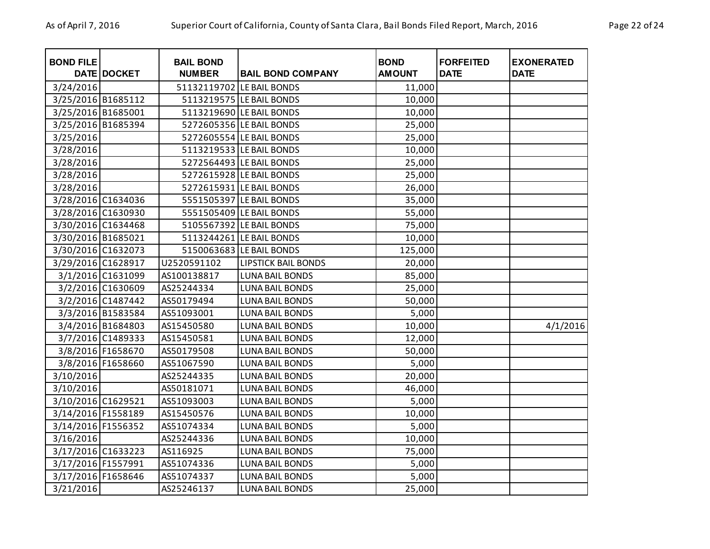| <b>BOND FILE</b>   | <b>DATE DOCKET</b> | <b>BAIL BOND</b><br><b>NUMBER</b> | <b>BAIL BOND COMPANY</b>   | <b>BOND</b><br><b>AMOUNT</b> | <b>FORFEITED</b><br><b>DATE</b> | <b>EXONERATED</b><br><b>DATE</b> |
|--------------------|--------------------|-----------------------------------|----------------------------|------------------------------|---------------------------------|----------------------------------|
| 3/24/2016          |                    |                                   | 51132119702 LE BAIL BONDS  | 11,000                       |                                 |                                  |
| 3/25/2016 B1685112 |                    |                                   | 5113219575 LE BAIL BONDS   | 10,000                       |                                 |                                  |
| 3/25/2016 B1685001 |                    |                                   | 5113219690 LE BAIL BONDS   | 10,000                       |                                 |                                  |
| 3/25/2016 B1685394 |                    |                                   | 5272605356 LE BAIL BONDS   | 25,000                       |                                 |                                  |
| 3/25/2016          |                    |                                   | 5272605554 LE BAIL BONDS   | 25,000                       |                                 |                                  |
| 3/28/2016          |                    |                                   | 5113219533 LE BAIL BONDS   | 10,000                       |                                 |                                  |
| 3/28/2016          |                    |                                   | 5272564493 LE BAIL BONDS   | 25,000                       |                                 |                                  |
| 3/28/2016          |                    |                                   | 5272615928 LE BAIL BONDS   | 25,000                       |                                 |                                  |
| 3/28/2016          |                    |                                   | 5272615931 LE BAIL BONDS   | 26,000                       |                                 |                                  |
| 3/28/2016 C1634036 |                    |                                   | 5551505397 LE BAIL BONDS   | 35,000                       |                                 |                                  |
| 3/28/2016 C1630930 |                    |                                   | 5551505409 LE BAIL BONDS   | 55,000                       |                                 |                                  |
| 3/30/2016 C1634468 |                    |                                   | 5105567392 LE BAIL BONDS   | 75,000                       |                                 |                                  |
| 3/30/2016 B1685021 |                    |                                   | 5113244261 LE BAIL BONDS   | 10,000                       |                                 |                                  |
| 3/30/2016 C1632073 |                    |                                   | 5150063683 LE BAIL BONDS   | 125,000                      |                                 |                                  |
| 3/29/2016 C1628917 |                    | U2520591102                       | <b>LIPSTICK BAIL BONDS</b> | 20,000                       |                                 |                                  |
|                    | 3/1/2016 C1631099  | AS100138817                       | <b>LUNA BAIL BONDS</b>     | 85,000                       |                                 |                                  |
|                    | 3/2/2016 C1630609  | AS25244334                        | <b>LUNA BAIL BONDS</b>     | 25,000                       |                                 |                                  |
|                    | 3/2/2016 C1487442  | AS50179494                        | <b>LUNA BAIL BONDS</b>     | 50,000                       |                                 |                                  |
|                    | 3/3/2016 B1583584  | AS51093001                        | <b>LUNA BAIL BONDS</b>     | 5,000                        |                                 |                                  |
|                    | 3/4/2016 B1684803  | AS15450580                        | <b>LUNA BAIL BONDS</b>     | 10,000                       |                                 | 4/1/2016                         |
|                    | 3/7/2016 C1489333  | AS15450581                        | <b>LUNA BAIL BONDS</b>     | 12,000                       |                                 |                                  |
|                    | 3/8/2016 F1658670  | AS50179508                        | <b>LUNA BAIL BONDS</b>     | 50,000                       |                                 |                                  |
|                    | 3/8/2016 F1658660  | AS51067590                        | <b>LUNA BAIL BONDS</b>     | 5,000                        |                                 |                                  |
| 3/10/2016          |                    | AS25244335                        | <b>LUNA BAIL BONDS</b>     | 20,000                       |                                 |                                  |
| 3/10/2016          |                    | AS50181071                        | <b>LUNA BAIL BONDS</b>     | 46,000                       |                                 |                                  |
| 3/10/2016 C1629521 |                    | AS51093003                        | <b>LUNA BAIL BONDS</b>     | 5,000                        |                                 |                                  |
| 3/14/2016 F1558189 |                    | AS15450576                        | <b>LUNA BAIL BONDS</b>     | 10,000                       |                                 |                                  |
| 3/14/2016 F1556352 |                    | AS51074334                        | <b>LUNA BAIL BONDS</b>     | 5,000                        |                                 |                                  |
| 3/16/2016          |                    | AS25244336                        | <b>LUNA BAIL BONDS</b>     | 10,000                       |                                 |                                  |
| 3/17/2016 C1633223 |                    | AS116925                          | <b>LUNA BAIL BONDS</b>     | 75,000                       |                                 |                                  |
| 3/17/2016 F1557991 |                    | AS51074336                        | <b>LUNA BAIL BONDS</b>     | 5,000                        |                                 |                                  |
| 3/17/2016 F1658646 |                    | AS51074337                        | <b>LUNA BAIL BONDS</b>     | 5,000                        |                                 |                                  |
| 3/21/2016          |                    | AS25246137                        | <b>LUNA BAIL BONDS</b>     | 25,000                       |                                 |                                  |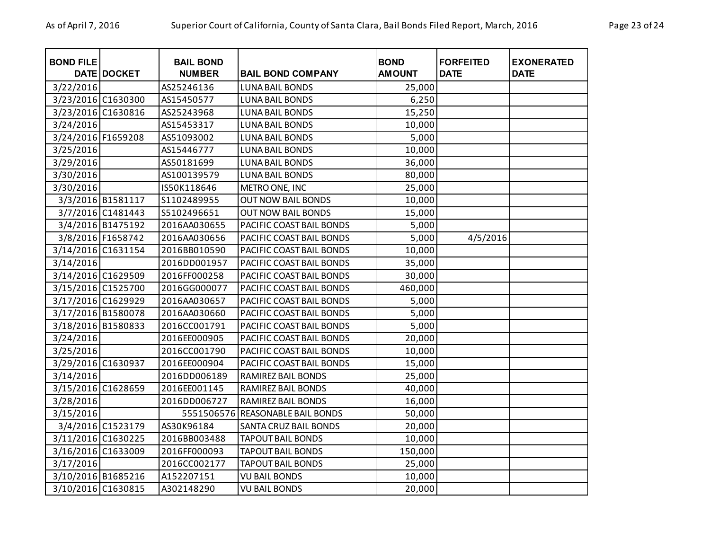| <b>BOND FILE</b>   | <b>DATE DOCKET</b> | <b>BAIL BOND</b><br><b>NUMBER</b> | <b>BAIL BOND COMPANY</b>     | <b>BOND</b><br><b>AMOUNT</b> | <b>FORFEITED</b><br><b>DATE</b> | <b>EXONERATED</b><br><b>DATE</b> |
|--------------------|--------------------|-----------------------------------|------------------------------|------------------------------|---------------------------------|----------------------------------|
| 3/22/2016          |                    | AS25246136                        | <b>LUNA BAIL BONDS</b>       | 25,000                       |                                 |                                  |
| 3/23/2016 C1630300 |                    | AS15450577                        | <b>LUNA BAIL BONDS</b>       | 6,250                        |                                 |                                  |
| 3/23/2016 C1630816 |                    | AS25243968                        | <b>LUNA BAIL BONDS</b>       | 15,250                       |                                 |                                  |
| 3/24/2016          |                    | AS15453317                        | <b>LUNA BAIL BONDS</b>       | 10,000                       |                                 |                                  |
| 3/24/2016 F1659208 |                    | AS51093002                        | <b>LUNA BAIL BONDS</b>       | 5,000                        |                                 |                                  |
| 3/25/2016          |                    | AS15446777                        | <b>LUNA BAIL BONDS</b>       | 10,000                       |                                 |                                  |
| 3/29/2016          |                    | AS50181699                        | <b>LUNA BAIL BONDS</b>       | 36,000                       |                                 |                                  |
| 3/30/2016          |                    | AS100139579                       | <b>LUNA BAIL BONDS</b>       | 80,000                       |                                 |                                  |
| 3/30/2016          |                    | IS50K118646                       | METRO ONE, INC               | 25,000                       |                                 |                                  |
|                    | 3/3/2016 B1581117  | S1102489955                       | <b>OUT NOW BAIL BONDS</b>    | 10,000                       |                                 |                                  |
|                    | 3/7/2016 C1481443  | S5102496651                       | <b>OUT NOW BAIL BONDS</b>    | 15,000                       |                                 |                                  |
|                    | 3/4/2016 B1475192  | 2016AA030655                      | PACIFIC COAST BAIL BONDS     | 5,000                        |                                 |                                  |
|                    | 3/8/2016 F1658742  | 2016AA030656                      | PACIFIC COAST BAIL BONDS     | 5,000                        | 4/5/2016                        |                                  |
| 3/14/2016 C1631154 |                    | 2016BB010590                      | PACIFIC COAST BAIL BONDS     | 10,000                       |                                 |                                  |
| 3/14/2016          |                    | 2016DD001957                      | PACIFIC COAST BAIL BONDS     | 35,000                       |                                 |                                  |
| 3/14/2016 C1629509 |                    | 2016FF000258                      | PACIFIC COAST BAIL BONDS     | 30,000                       |                                 |                                  |
| 3/15/2016 C1525700 |                    | 2016GG000077                      | PACIFIC COAST BAIL BONDS     | 460,000                      |                                 |                                  |
| 3/17/2016 C1629929 |                    | 2016AA030657                      | PACIFIC COAST BAIL BONDS     | 5,000                        |                                 |                                  |
| 3/17/2016 B1580078 |                    | 2016AA030660                      | PACIFIC COAST BAIL BONDS     | 5,000                        |                                 |                                  |
| 3/18/2016 B1580833 |                    | 2016CC001791                      | PACIFIC COAST BAIL BONDS     | 5,000                        |                                 |                                  |
| 3/24/2016          |                    | 2016EE000905                      | PACIFIC COAST BAIL BONDS     | 20,000                       |                                 |                                  |
| 3/25/2016          |                    | 2016CC001790                      | PACIFIC COAST BAIL BONDS     | 10,000                       |                                 |                                  |
| 3/29/2016 C1630937 |                    | 2016EE000904                      | PACIFIC COAST BAIL BONDS     | 15,000                       |                                 |                                  |
| 3/14/2016          |                    | 2016DD006189                      | RAMIREZ BAIL BONDS           | 25,000                       |                                 |                                  |
| 3/15/2016 C1628659 |                    | 2016EE001145                      | RAMIREZ BAIL BONDS           | 40,000                       |                                 |                                  |
| 3/28/2016          |                    | 2016DD006727                      | <b>RAMIREZ BAIL BONDS</b>    | 16,000                       |                                 |                                  |
| 3/15/2016          |                    | 5551506576                        | <b>REASONABLE BAIL BONDS</b> | 50,000                       |                                 |                                  |
|                    | 3/4/2016 C1523179  | AS30K96184                        | SANTA CRUZ BAIL BONDS        | 20,000                       |                                 |                                  |
| 3/11/2016 C1630225 |                    | 2016BB003488                      | <b>TAPOUT BAIL BONDS</b>     | 10,000                       |                                 |                                  |
| 3/16/2016 C1633009 |                    | 2016FF000093                      | <b>TAPOUT BAIL BONDS</b>     | 150,000                      |                                 |                                  |
| 3/17/2016          |                    | 2016CC002177                      | <b>TAPOUT BAIL BONDS</b>     | 25,000                       |                                 |                                  |
| 3/10/2016 B1685216 |                    | A152207151                        | <b>VU BAIL BONDS</b>         | 10,000                       |                                 |                                  |
| 3/10/2016 C1630815 |                    | A302148290                        | <b>VU BAIL BONDS</b>         | 20,000                       |                                 |                                  |